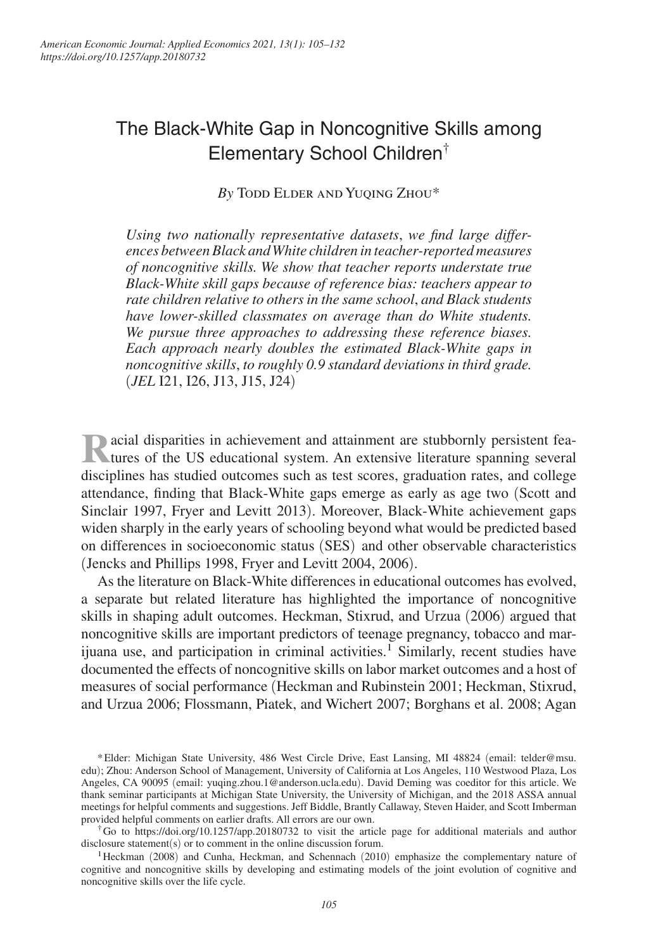# The Black-White Gap in Noncognitive Skills among Elementary School Children†

*By* Todd Elder and Yuqing Zhou\*

*Using two nationally representative datasets*, *we find large differences between Black and White children in teacher-reported measures of noncognitive skills. We show that teacher reports understate true Black-White skill gaps because of reference bias: teachers appear to rate children relative to others in the same school*, *and Black students have lower-skilled classmates on average than do White students. We pursue three approaches to addressing these reference biases. Each approach nearly doubles the estimated Black-White gaps in noncognitive skills*, *to roughly 0.9 standard deviations in third grade.*  (*JEL* I21, I26, J13, J15, J24)

**R**acial disparities in achievement and attainment are stubbornly persistent fea-<br>
tures of the US educational system. An extensive literature spanning several acial disparities in achievement and attainment are stubbornly persistent feadisciplines has studied outcomes such as test scores, graduation rates, and college attendance, finding that Black-White gaps emerge as early as age two (Scott and Sinclair 1997, Fryer and Levitt 2013). Moreover, Black-White achievement gaps widen sharply in the early years of schooling beyond what would be predicted based on differences in socioeconomic status (SES) and other observable characteristics (Jencks and Phillips 1998, Fryer and Levitt 2004, 2006).

As the literature on Black-White differences in educational outcomes has evolved, a separate but related literature has highlighted the importance of noncognitive skills in shaping adult outcomes. Heckman, Stixrud, and Urzua (2006) argued that noncognitive skills are important predictors of teenage pregnancy, tobacco and marijuana use, and participation in criminal activities.<sup>1</sup> Similarly, recent studies have documented the effects of noncognitive skills on labor market outcomes and a host of measures of social performance (Heckman and Rubinstein 2001; Heckman, Stixrud, and Urzua 2006; Flossmann, Piatek, and Wichert 2007; Borghans et al. 2008; Agan

<sup>\*</sup> Elder: Michigan State University, 486 West Circle Drive, East Lansing, MI 48824 ( email: telder@msu. edu); Zhou: Anderson School of Management, University of California at Los Angeles, 110 Westwood Plaza, Los Angeles, CA 90095 (email: yuqing.zhou.1@anderson.ucla.edu). David Deming was coeditor for this article. We thank seminar participants at Michigan State University, the University of Michigan, and the 2018 ASSA annual meetings for helpful comments and suggestions. Jeff Biddle, Brantly Callaway, Steven Haider, and Scott Imberman provided helpful comments on earlier drafts. All errors are our own.

<sup>†</sup> Go to https://doi.org/10.1257/app.20180732 to visit the article page for additional materials and author disclosure statement(s) or to comment in the online discussion forum.

<sup>1</sup>Heckman (2008) and Cunha, Heckman, and Schennach (2010) emphasize the complementary nature of cognitive and noncognitive skills by developing and estimating models of the joint evolution of cognitive and noncognitive skills over the life cycle.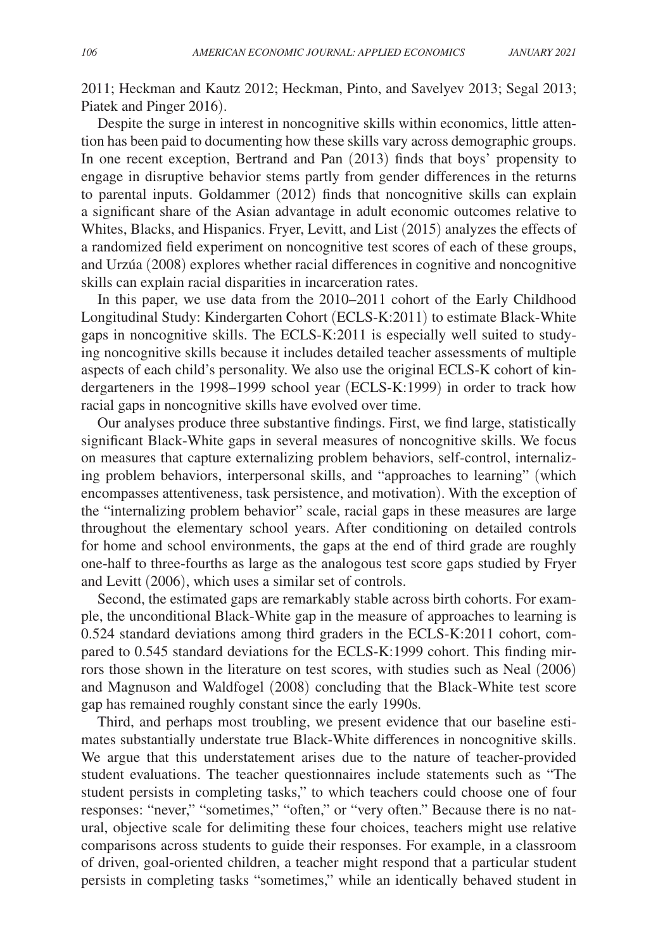2011; Heckman and Kautz 2012; Heckman, Pinto, and Savelyev 2013; Segal 2013; Piatek and Pinger 2016).

Despite the surge in interest in noncognitive skills within economics, little attention has been paid to documenting how these skills vary across demographic groups. In one recent exception, Bertrand and Pan (2013) finds that boys' propensity to engage in disruptive behavior stems partly from gender differences in the returns to parental inputs. Goldammer (2012) finds that noncognitive skills can explain a significant share of the Asian advantage in adult economic outcomes relative to Whites, Blacks, and Hispanics. Fryer, Levitt, and List (2015) analyzes the effects of a randomized field experiment on noncognitive test scores of each of these groups, and Urzúa (2008) explores whether racial differences in cognitive and noncognitive skills can explain racial disparities in incarceration rates.

In this paper, we use data from the 2010–2011 cohort of the Early Childhood Longitudinal Study: Kindergarten Cohort ( ECLS-K:2011) to estimate Black-White gaps in noncognitive skills. The ECLS-K:2011 is especially well suited to studying noncognitive skills because it includes detailed teacher assessments of multiple aspects of each child's personality. We also use the original ECLS-K cohort of kindergarteners in the 1998–1999 school year (ECLS-K:1999) in order to track how racial gaps in noncognitive skills have evolved over time.

Our analyses produce three substantive findings. First, we find large, statistically significant Black-White gaps in several measures of noncognitive skills. We focus on measures that capture externalizing problem behaviors, self-control, internalizing problem behaviors, interpersonal skills, and "approaches to learning" (which encompasses attentiveness, task persistence, and motivation). With the exception of the "internalizing problem behavior" scale, racial gaps in these measures are large throughout the elementary school years. After conditioning on detailed controls for home and school environments, the gaps at the end of third grade are roughly one-half to three-fourths as large as the analogous test score gaps studied by Fryer and Levitt (2006), which uses a similar set of controls.

Second, the estimated gaps are remarkably stable across birth cohorts. For example, the unconditional Black-White gap in the measure of approaches to learning is 0.524 standard deviations among third graders in the ECLS-K:2011 cohort, compared to 0.545 standard deviations for the ECLS-K:1999 cohort. This finding mirrors those shown in the literature on test scores, with studies such as Neal (2006) and Magnuson and Waldfogel (2008) concluding that the Black-White test score gap has remained roughly constant since the early 1990s.

Third, and perhaps most troubling, we present evidence that our baseline estimates substantially understate true Black-White differences in noncognitive skills. We argue that this understatement arises due to the nature of teacher-provided student evaluations. The teacher questionnaires include statements such as "The student persists in completing tasks," to which teachers could choose one of four responses: "never," "sometimes," "often," or "very often." Because there is no natural, objective scale for delimiting these four choices, teachers might use relative comparisons across students to guide their responses. For example, in a classroom of driven, goal-oriented children, a teacher might respond that a particular student persists in completing tasks "sometimes," while an identically behaved student in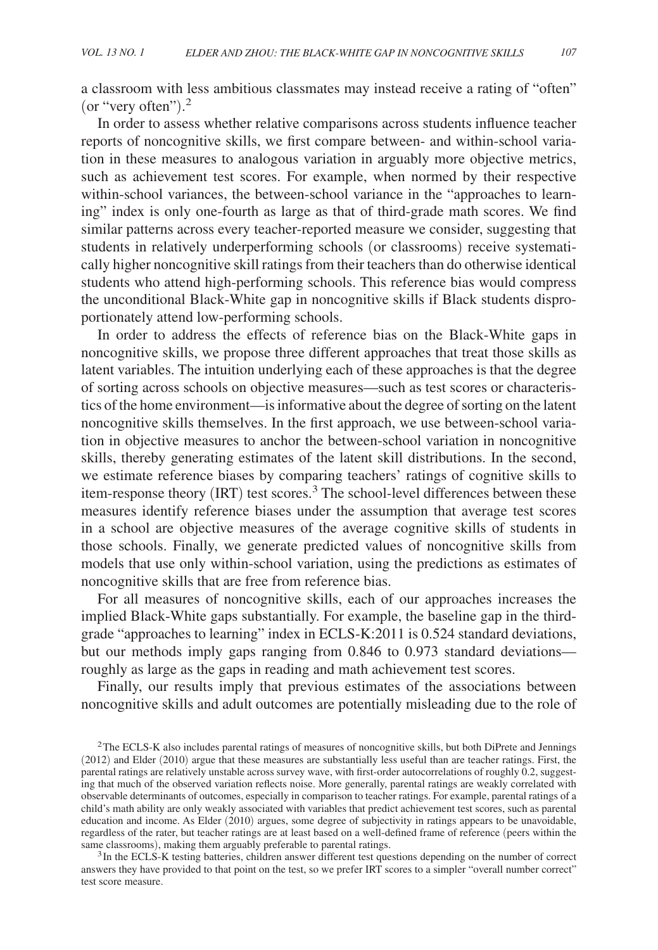a classroom with less ambitious classmates may instead receive a rating of "often" (or "very often"). 2

In order to assess whether relative comparisons across students influence teacher reports of noncognitive skills, we first compare between- and within-school variation in these measures to analogous variation in arguably more objective metrics, such as achievement test scores. For example, when normed by their respective within-school variances, the between-school variance in the "approaches to learning" index is only one-fourth as large as that of third-grade math scores. We find similar patterns across every teacher-reported measure we consider, suggesting that students in relatively underperforming schools (or classrooms) receive systematically higher noncognitive skill ratings from their teachers than do otherwise identical students who attend high-performing schools. This reference bias would compress the unconditional Black-White gap in noncognitive skills if Black students disproportionately attend low-performing schools.

In order to address the effects of reference bias on the Black-White gaps in noncognitive skills, we propose three different approaches that treat those skills as latent variables. The intuition underlying each of these approaches is that the degree of sorting across schools on objective measures—such as test scores or characteristics of the home environment—is informative about the degree of sorting on the latent noncognitive skills themselves. In the first approach, we use between-school variation in objective measures to anchor the between-school variation in noncognitive skills, thereby generating estimates of the latent skill distributions. In the second, we estimate reference biases by comparing teachers' ratings of cognitive skills to item-response theory (IRT) test scores.<sup>3</sup> The school-level differences between these measures identify reference biases under the assumption that average test scores in a school are objective measures of the average cognitive skills of students in those schools. Finally, we generate predicted values of noncognitive skills from models that use only within-school variation, using the predictions as estimates of noncognitive skills that are free from reference bias.

For all measures of noncognitive skills, each of our approaches increases the implied Black-White gaps substantially. For example, the baseline gap in the thirdgrade "approaches to learning" index in ECLS-K:2011 is 0.524 standard deviations, but our methods imply gaps ranging from 0.846 to 0.973 standard deviations roughly as large as the gaps in reading and math achievement test scores.

Finally, our results imply that previous estimates of the associations between noncognitive skills and adult outcomes are potentially misleading due to the role of

<sup>3</sup>In the ECLS-K testing batteries, children answer different test questions depending on the number of correct answers they have provided to that point on the test, so we prefer IRT scores to a simpler "overall number correct" test score measure.

 $2$ The ECLS-K also includes parental ratings of measures of noncognitive skills, but both DiPrete and Jennings (2012) and Elder (2010) argue that these measures are substantially less useful than are teacher ratings. First, the parental ratings are relatively unstable across survey wave, with first-order autocorrelations of roughly 0.2, suggesting that much of the observed variation reflects noise. More generally, parental ratings are weakly correlated with observable determinants of outcomes, especially in comparison to teacher ratings. For example, parental ratings of a child's math ability are only weakly associated with variables that predict achievement test scores, such as parental education and income. As Elder (2010) argues, some degree of subjectivity in ratings appears to be unavoidable, regardless of the rater, but teacher ratings are at least based on a well-defined frame of reference (peers within the same classrooms), making them arguably preferable to parental ratings.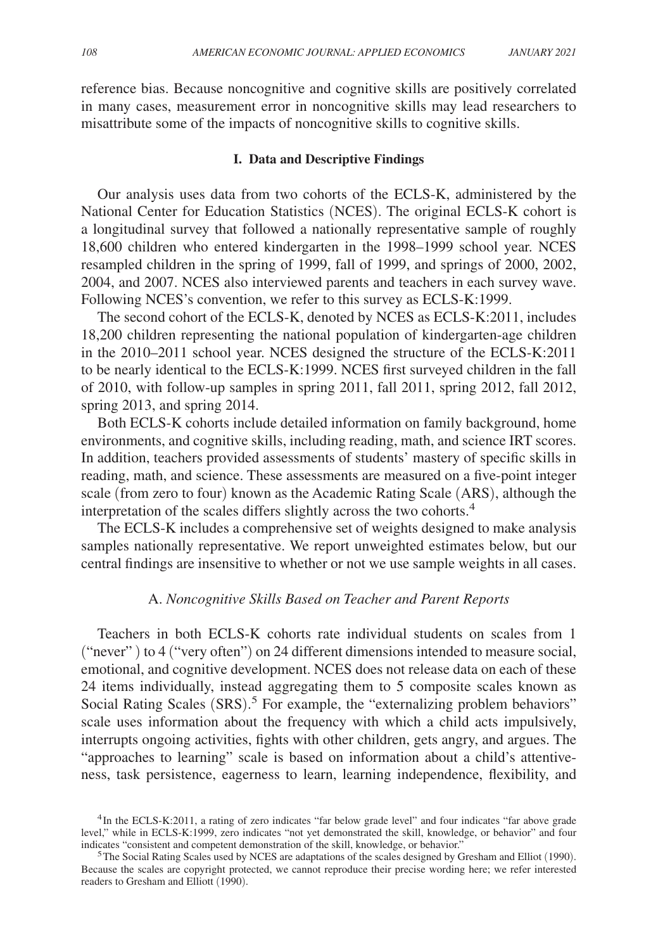reference bias. Because noncognitive and cognitive skills are positively correlated in many cases, measurement error in noncognitive skills may lead researchers to misattribute some of the impacts of noncognitive skills to cognitive skills.

# **I. Data and Descriptive Findings**

Our analysis uses data from two cohorts of the ECLS-K, administered by the National Center for Education Statistics (NCES). The original ECLS-K cohort is a longitudinal survey that followed a nationally representative sample of roughly 18,600 children who entered kindergarten in the 1998–1999 school year. NCES resampled children in the spring of 1999, fall of 1999, and springs of 2000, 2002, 2004, and 2007. NCES also interviewed parents and teachers in each survey wave. Following NCES's convention, we refer to this survey as ECLS-K:1999.

The second cohort of the ECLS-K, denoted by NCES as ECLS-K:2011, includes 18,200 children representing the national population of kindergarten-age children in the 2010–2011 school year. NCES designed the structure of the ECLS-K:2011 to be nearly identical to the ECLS-K:1999. NCES first surveyed children in the fall of 2010, with follow-up samples in spring 2011, fall 2011, spring 2012, fall 2012, spring 2013, and spring 2014.

Both ECLS-K cohorts include detailed information on family background, home environments, and cognitive skills, including reading, math, and science IRT scores. In addition, teachers provided assessments of students' mastery of specific skills in reading, math, and science. These assessments are measured on a five-point integer scale (from zero to four) known as the Academic Rating Scale (ARS), although the interpretation of the scales differs slightly across the two cohorts.<sup>4</sup>

The ECLS-K includes a comprehensive set of weights designed to make analysis samples nationally representative. We report unweighted estimates below, but our central findings are insensitive to whether or not we use sample weights in all cases.

# A. *Noncognitive Skills Based on Teacher and Parent Reports*

Teachers in both ECLS-K cohorts rate individual students on scales from 1 ("never" ) to 4 ("very often") on 24 different dimensions intended to measure social, emotional, and cognitive development. NCES does not release data on each of these 24 items individually, instead aggregating them to 5 composite scales known as Social Rating Scales (SRS).<sup>5</sup> For example, the "externalizing problem behaviors" scale uses information about the frequency with which a child acts impulsively, interrupts ongoing activities, fights with other children, gets angry, and argues. The "approaches to learning" scale is based on information about a child's attentiveness, task persistence, eagerness to learn, learning independence, flexibility, and

<sup>&</sup>lt;sup>4</sup>In the ECLS-K:2011, a rating of zero indicates "far below grade level" and four indicates "far above grade level," while in ECLS-K:1999, zero indicates "not yet demonstrated the skill, knowledge, or behavior" and four indicates "consistent and competent demonstration of the skill, knowledge, or behavior."

<sup>&</sup>lt;sup>5</sup>The Social Rating Scales used by NCES are adaptations of the scales designed by Gresham and Elliot (1990). Because the scales are copyright protected, we cannot reproduce their precise wording here; we refer interested readers to Gresham and Elliott (1990).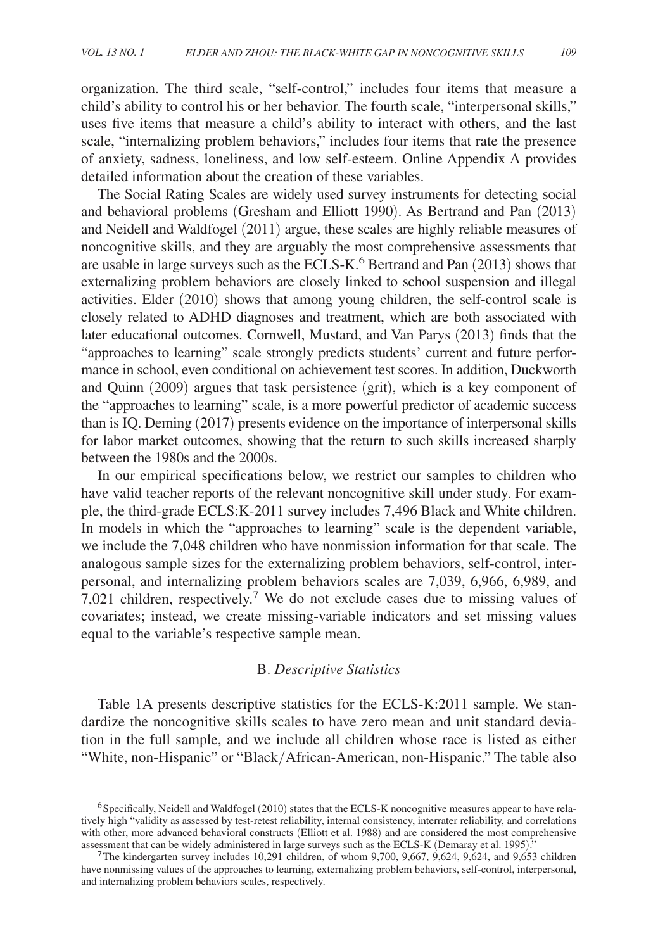organization. The third scale, " self-control," includes four items that measure a child's ability to control his or her behavior. The fourth scale, "interpersonal skills," uses five items that measure a child's ability to interact with others, and the last scale, "internalizing problem behaviors," includes four items that rate the presence of anxiety, sadness, loneliness, and low self-esteem. Online Appendix A provides detailed information about the creation of these variables.

The Social Rating Scales are widely used survey instruments for detecting social and behavioral problems (Gresham and Elliott 1990). As Bertrand and Pan (2013) and Neidell and Waldfogel (2011) argue, these scales are highly reliable measures of noncognitive skills, and they are arguably the most comprehensive assessments that are usable in large surveys such as the ECLS-K.<sup>6</sup> Bertrand and Pan (2013) shows that externalizing problem behaviors are closely linked to school suspension and illegal activities. Elder (2010) shows that among young children, the self-control scale is closely related to ADHD diagnoses and treatment, which are both associated with later educational outcomes. Cornwell, Mustard, and Van Parys (2013) finds that the "approaches to learning" scale strongly predicts students' current and future performance in school, even conditional on achievement test scores. In addition, Duckworth and Quinn (2009) argues that task persistence (grit), which is a key component of the "approaches to learning" scale, is a more powerful predictor of academic success than is IQ. Deming (2017) presents evidence on the importance of interpersonal skills for labor market outcomes, showing that the return to such skills increased sharply between the 1980s and the 2000s.

In our empirical specifications below, we restrict our samples to children who have valid teacher reports of the relevant noncognitive skill under study. For example, the third-grade ECLS: K-2011 survey includes 7,496 Black and White children. In models in which the "approaches to learning" scale is the dependent variable, we include the 7,048 children who have nonmission information for that scale. The analogous sample sizes for the externalizing problem behaviors, self-control, interpersonal, and internalizing problem behaviors scales are 7,039, 6,966, 6,989, and  $7,021$  children, respectively.<sup>7</sup> We do not exclude cases due to missing values of covariates; instead, we create missing-variable indicators and set missing values equal to the variable's respective sample mean.

# B. *Descriptive Statistics*

Table 1A presents descriptive statistics for the ECLS-K:2011 sample. We standardize the noncognitive skills scales to have zero mean and unit standard deviation in the full sample, and we include all children whose race is listed as either "White, non-Hispanic" or "Black/ African-American, non-Hispanic." The table also

<sup>&</sup>lt;sup>6</sup>Specifically, Neidell and Waldfogel (2010) states that the ECLS-K noncognitive measures appear to have relatively high "validity as assessed by test-retest reliability, internal consistency, interrater reliability, and correlations with other, more advanced behavioral constructs (Elliott et al. 1988) and are considered the most comprehensive assessment that can be widely administered in large surveys such as the ECLS-K (Demaray et al. 1995)."

The kindergarten survey includes 10,291 children, of whom  $9,700, 9,667, 9,624, 9,624$ , and  $9,653$  children have nonmissing values of the approaches to learning, externalizing problem behaviors, self-control, interpersonal, and internalizing problem behaviors scales, respectively.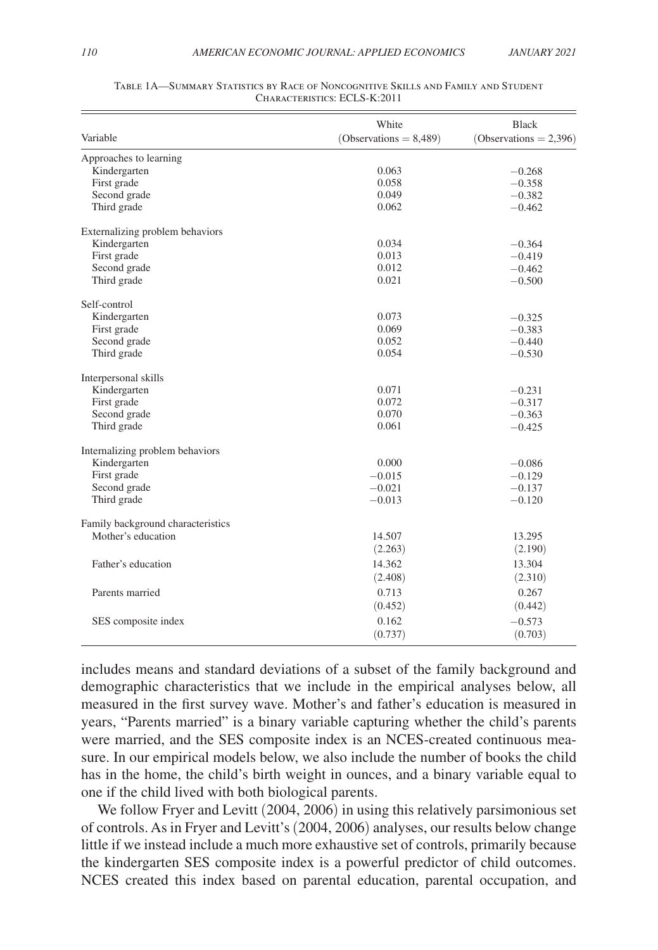|                                   | White                    | Black                  |  |
|-----------------------------------|--------------------------|------------------------|--|
| Variable                          | $(Observations = 8,489)$ | (Observations = 2,396) |  |
| Approaches to learning            |                          |                        |  |
| Kindergarten                      | 0.063                    | $-0.268$               |  |
| First grade                       | 0.058                    | $-0.358$               |  |
| Second grade                      | 0.049                    | $-0.382$               |  |
| Third grade                       | 0.062                    | $-0.462$               |  |
| Externalizing problem behaviors   |                          |                        |  |
| Kindergarten                      | 0.034                    | $-0.364$               |  |
| First grade                       | 0.013                    | $-0.419$               |  |
| Second grade                      | 0.012                    | $-0.462$               |  |
| Third grade                       | 0.021                    | $-0.500$               |  |
| Self-control                      |                          |                        |  |
| Kindergarten                      | 0.073                    | $-0.325$               |  |
| First grade                       | 0.069                    | $-0.383$               |  |
| Second grade                      | 0.052                    | $-0.440$               |  |
| Third grade                       | 0.054                    | $-0.530$               |  |
| Interpersonal skills              |                          |                        |  |
| Kindergarten                      | 0.071                    | $-0.231$               |  |
| First grade                       | 0.072                    | $-0.317$               |  |
| Second grade                      | 0.070                    | $-0.363$               |  |
| Third grade                       | 0.061                    | $-0.425$               |  |
| Internalizing problem behaviors   |                          |                        |  |
| Kindergarten                      | 0.000                    | $-0.086$               |  |
| First grade                       | $-0.015$                 | $-0.129$               |  |
| Second grade                      | $-0.021$                 | $-0.137$               |  |
| Third grade                       | $-0.013$                 | $-0.120$               |  |
| Family background characteristics |                          |                        |  |
| Mother's education                | 14.507                   | 13.295                 |  |
|                                   | (2.263)                  | (2.190)                |  |
| Father's education                | 14.362                   | 13.304                 |  |
|                                   | (2.408)                  | (2.310)                |  |
| Parents married                   | 0.713                    | 0.267                  |  |
|                                   | (0.452)                  | (0.442)                |  |
| SES composite index               | 0.162                    | $-0.573$               |  |
|                                   | (0.737)                  | (0.703)                |  |
|                                   |                          |                        |  |

#### Table 1A—Summary Statistics by Race of Noncognitive Skills and Family and Student Characteristics: ECLS-K:2011

includes means and standard deviations of a subset of the family background and demographic characteristics that we include in the empirical analyses below, all measured in the first survey wave. Mother's and father's education is measured in years, "Parents married" is a binary variable capturing whether the child's parents were married, and the SES composite index is an NCES-created continuous measure. In our empirical models below, we also include the number of books the child has in the home, the child's birth weight in ounces, and a binary variable equal to one if the child lived with both biological parents.

We follow Fryer and Levitt (2004, 2006) in using this relatively parsimonious set of controls. As in Fryer and Levitt's (2004, 2006) analyses, our results below change little if we instead include a much more exhaustive set of controls, primarily because the kindergarten SES composite index is a powerful predictor of child outcomes. NCES created this index based on parental education, parental occupation, and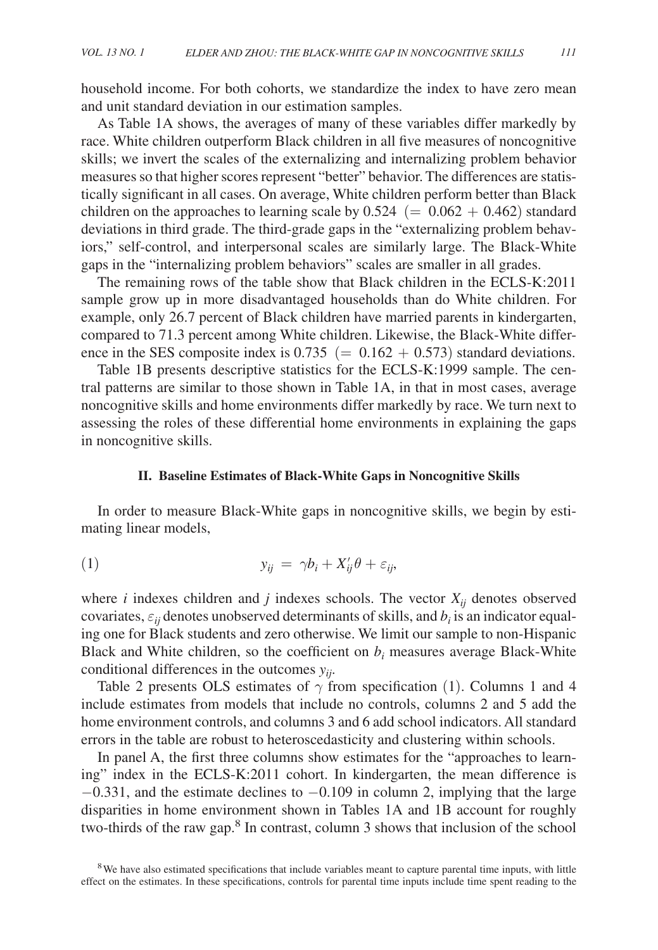household income. For both cohorts, we standardize the index to have zero mean and unit standard deviation in our estimation samples.

As Table 1A shows, the averages of many of these variables differ markedly by race. White children outperform Black children in all five measures of noncognitive skills; we invert the scales of the externalizing and internalizing problem behavior measures so that higher scores represent "better" behavior. The differences are statistically significant in all cases. On average, White children perform better than Black children on the approaches to learning scale by  $0.524 (= 0.062 + 0.462)$  standard deviations in third grade. The third-grade gaps in the "externalizing problem behaviors," self-control, and interpersonal scales are similarly large. The Black-White gaps in the "internalizing problem behaviors" scales are smaller in all grades.

The remaining rows of the table show that Black children in the ECLS-K:2011 sample grow up in more disadvantaged households than do White children. For example, only 26.7 percent of Black children have married parents in kindergarten, compared to 71.3 percent among White children. Likewise, the Black-White difference in the SES composite index is  $0.735 (= 0.162 + 0.573)$  standard deviations.

Table 1B presents descriptive statistics for the ECLS-K:1999 sample. The central patterns are similar to those shown in Table 1A, in that in most cases, average noncognitive skills and home environments differ markedly by race. We turn next to assessing the roles of these differential home environments in explaining the gaps in noncognitive skills.

#### **II. Baseline Estimates of Black-White Gaps in Noncognitive Skills**

In order to measure Black-White gaps in noncognitive skills, we begin by estimating linear models,

$$
y_{ij} = \gamma b_i + X'_{ij} \theta + \varepsilon_{ij},
$$

where *i* indexes children and *j* indexes schools. The vector  $X_{ij}$  denotes observed covariates,  $\varepsilon_{ij}$  denotes unobserved determinants of skills, and  $b_i$  is an indicator equaling one for Black students and zero otherwise. We limit our sample to non-Hispanic Black and White children, so the coefficient on  $b_i$  measures average Black-White conditional differences in the outcomes *yij* .

Table 2 presents OLS estimates of  $\gamma$  from specification (1). Columns 1 and 4 include estimates from models that include no controls, columns 2 and 5 add the home environment controls, and columns 3 and 6 add school indicators. All standard errors in the table are robust to heteroscedasticity and clustering within schools.

In panel A, the first three columns show estimates for the "approaches to learning" index in the ECLS-K:2011 cohort. In kindergarten, the mean difference is  $-0.331$ , and the estimate declines to  $-0.109$  in column 2, implying that the large disparities in home environment shown in Tables 1A and 1B account for roughly two-thirds of the raw gap.<sup>8</sup> In contrast, column 3 shows that inclusion of the school

<sup>8</sup>We have also estimated specifications that include variables meant to capture parental time inputs, with little effect on the estimates. In these specifications, controls for parental time inputs include time spent reading to the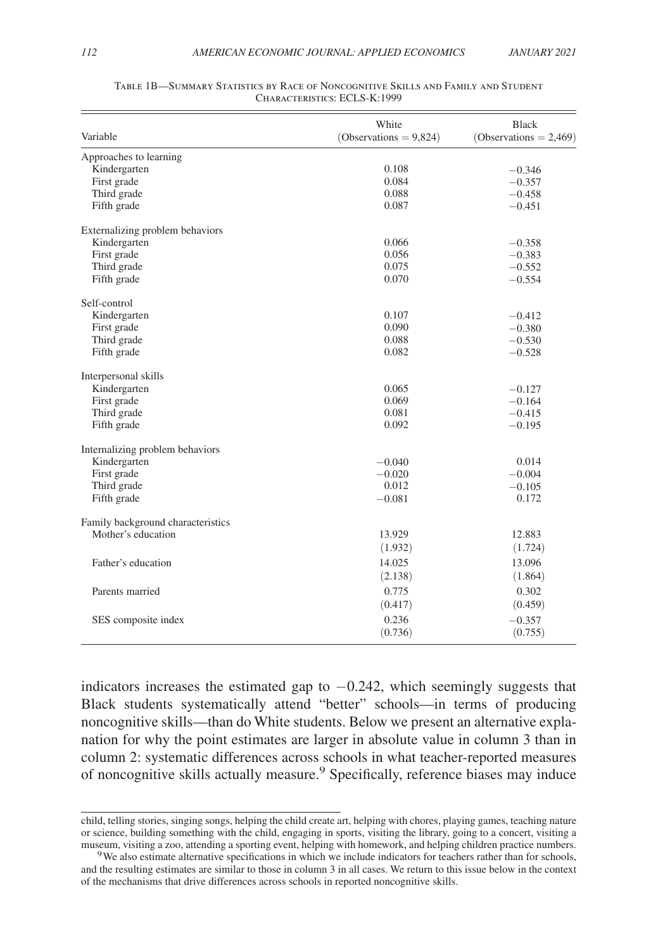|                                   | White                    | <b>Black</b>              |  |
|-----------------------------------|--------------------------|---------------------------|--|
| Variable                          | $(Observations = 9,824)$ | (Observations = $2,469$ ) |  |
| Approaches to learning            |                          |                           |  |
| Kindergarten                      | 0.108                    | $-0.346$                  |  |
| First grade                       | 0.084                    | $-0.357$                  |  |
| Third grade                       | 0.088                    | $-0.458$                  |  |
| Fifth grade                       | 0.087                    | $-0.451$                  |  |
| Externalizing problem behaviors   |                          |                           |  |
| Kindergarten                      | 0.066                    | $-0.358$                  |  |
| First grade                       | 0.056                    | $-0.383$                  |  |
| Third grade                       | 0.075                    | $-0.552$                  |  |
| Fifth grade                       | 0.070                    | $-0.554$                  |  |
| Self-control                      |                          |                           |  |
| Kindergarten                      | 0.107                    | $-0.412$                  |  |
| First grade                       | 0.090                    | $-0.380$                  |  |
| Third grade                       | 0.088                    | $-0.530$                  |  |
| Fifth grade                       | 0.082                    | $-0.528$                  |  |
| Interpersonal skills              |                          |                           |  |
| Kindergarten                      | 0.065                    | $-0.127$                  |  |
| First grade                       | 0.069                    | $-0.164$                  |  |
| Third grade                       | 0.081                    | $-0.415$                  |  |
| Fifth grade                       | 0.092                    | $-0.195$                  |  |
| Internalizing problem behaviors   |                          |                           |  |
| Kindergarten                      | $-0.040$                 | 0.014                     |  |
| First grade                       | $-0.020$                 | $-0.004$                  |  |
| Third grade                       | 0.012                    | $-0.105$                  |  |
| Fifth grade                       | $-0.081$                 | 0.172                     |  |
| Family background characteristics |                          |                           |  |
| Mother's education                | 13.929                   | 12.883                    |  |
|                                   | (1.932)                  | (1.724)                   |  |
| Father's education                | 14.025                   | 13.096                    |  |
|                                   | (2.138)                  | (1.864)                   |  |
| Parents married                   | 0.775                    | 0.302                     |  |
|                                   | (0.417)                  | (0.459)                   |  |
| SES composite index               | 0.236                    | $-0.357$                  |  |
|                                   | (0.736)                  | (0.755)                   |  |
|                                   |                          |                           |  |

#### Table 1B—Summary Statistics by Race of Noncognitive Skills and Family and Student Characteristics: ECLS-K:1999

indicators increases the estimated gap to −0.242, which seemingly suggests that Black students systematically attend "better" schools—in terms of producing noncognitive skills—than do White students. Below we present an alternative explanation for why the point estimates are larger in absolute value in column 3 than in column 2: systematic differences across schools in what teacher-reported measures of noncognitive skills actually measure.<sup>9</sup> Specifically, reference biases may induce

child, telling stories, singing songs, helping the child create art, helping with chores, playing games, teaching nature or science, building something with the child, engaging in sports, visiting the library, going to a concert, visiting a museum, visiting a zoo, attending a sporting event, helping with homework, and helping children practice numbers.

<sup>&</sup>lt;sup>9</sup>We also estimate alternative specifications in which we include indicators for teachers rather than for schools, and the resulting estimates are similar to those in column 3 in all cases. We return to this issue below in the context of the mechanisms that drive differences across schools in reported noncognitive skills.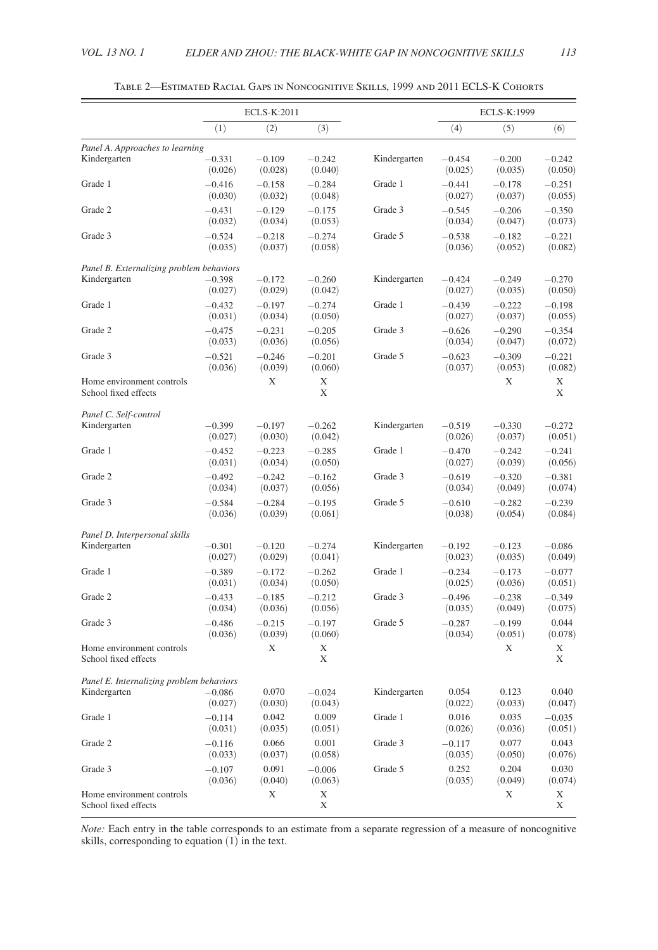|                                                   |                     | ECLS-K:2011         |                     |              |                     | ECLS-K:1999         |                     |
|---------------------------------------------------|---------------------|---------------------|---------------------|--------------|---------------------|---------------------|---------------------|
|                                                   | (1)                 | (2)                 | (3)                 |              | (4)                 | (5)                 | (6)                 |
| Panel A. Approaches to learning                   |                     |                     |                     |              |                     |                     |                     |
| Kindergarten                                      | $-0.331$<br>(0.026) | $-0.109$<br>(0.028) | $-0.242$<br>(0.040) | Kindergarten | $-0.454$<br>(0.025) | $-0.200$<br>(0.035) | $-0.242$<br>(0.050) |
| Grade 1                                           | $-0.416$<br>(0.030) | $-0.158$<br>(0.032) | $-0.284$<br>(0.048) | Grade 1      | $-0.441$<br>(0.027) | $-0.178$<br>(0.037) | $-0.251$<br>(0.055) |
| Grade 2                                           | $-0.431$<br>(0.032) | $-0.129$<br>(0.034) | $-0.175$<br>(0.053) | Grade 3      | $-0.545$<br>(0.034) | $-0.206$<br>(0.047) | $-0.350$<br>(0.073) |
| Grade 3                                           | $-0.524$<br>(0.035) | $-0.218$<br>(0.037) | $-0.274$<br>(0.058) | Grade 5      | $-0.538$<br>(0.036) | $-0.182$<br>(0.052) | $-0.221$<br>(0.082) |
| Panel B. Externalizing problem behaviors          |                     |                     |                     |              |                     |                     |                     |
| Kindergarten                                      | $-0.398$<br>(0.027) | $-0.172$<br>(0.029) | $-0.260$<br>(0.042) | Kindergarten | $-0.424$<br>(0.027) | $-0.249$<br>(0.035) | $-0.270$<br>(0.050) |
| Grade 1                                           | $-0.432$<br>(0.031) | $-0.197$<br>(0.034) | $-0.274$<br>(0.050) | Grade 1      | $-0.439$<br>(0.027) | $-0.222$<br>(0.037) | $-0.198$<br>(0.055) |
| Grade 2                                           | $-0.475$<br>(0.033) | $-0.231$<br>(0.036) | $-0.205$<br>(0.056) | Grade 3      | $-0.626$<br>(0.034) | $-0.290$<br>(0.047) | $-0.354$<br>(0.072) |
| Grade 3                                           | $-0.521$<br>(0.036) | $-0.246$<br>(0.039) | $-0.201$<br>(0.060) | Grade 5      | $-0.623$<br>(0.037) | $-0.309$<br>(0.053) | $-0.221$<br>(0.082) |
| Home environment controls<br>School fixed effects |                     | Χ                   | Х<br>X              |              |                     | Χ                   | Х<br>X              |
| Panel C. Self-control                             |                     |                     |                     |              |                     |                     |                     |
| Kindergarten                                      | $-0.399$<br>(0.027) | $-0.197$<br>(0.030) | $-0.262$<br>(0.042) | Kindergarten | $-0.519$<br>(0.026) | $-0.330$<br>(0.037) | $-0.272$<br>(0.051) |
| Grade 1                                           | $-0.452$<br>(0.031) | $-0.223$<br>(0.034) | $-0.285$<br>(0.050) | Grade 1      | $-0.470$<br>(0.027) | $-0.242$<br>(0.039) | $-0.241$<br>(0.056) |
| Grade 2                                           | $-0.492$<br>(0.034) | $-0.242$<br>(0.037) | $-0.162$<br>(0.056) | Grade 3      | $-0.619$<br>(0.034) | $-0.320$<br>(0.049) | $-0.381$<br>(0.074) |
| Grade 3                                           | $-0.584$<br>(0.036) | $-0.284$<br>(0.039) | $-0.195$<br>(0.061) | Grade 5      | $-0.610$<br>(0.038) | $-0.282$<br>(0.054) | $-0.239$<br>(0.084) |
| Panel D. Interpersonal skills                     |                     |                     |                     |              |                     |                     |                     |
| Kindergarten                                      | $-0.301$<br>(0.027) | $-0.120$<br>(0.029) | $-0.274$<br>(0.041) | Kindergarten | $-0.192$<br>(0.023) | $-0.123$<br>(0.035) | $-0.086$<br>(0.049) |
| Grade 1                                           | $-0.389$<br>(0.031) | $-0.172$<br>(0.034) | $-0.262$<br>(0.050) | Grade 1      | $-0.234$<br>(0.025) | $-0.173$<br>(0.036) | $-0.077$<br>(0.051) |
| Grade 2                                           | $-0.433$<br>(0.034) | $-0.185$<br>(0.036) | $-0.212$<br>(0.056) | Grade 3      | $-0.496$<br>(0.035) | $-0.238$<br>(0.049) | $-0.349$<br>(0.075) |
| Grade 3                                           | $-0.486$<br>(0.036) | $-0.215$<br>(0.039) | $-0.197$<br>(0.060) | Grade 5      | $-0.287$<br>(0.034) | $-0.199$<br>(0.051) | 0.044<br>(0.078)    |
| Home environment controls<br>School fixed effects |                     | Х                   | X<br>X              |              |                     | X                   | Х<br>X              |
| Panel E. Internalizing problem behaviors          |                     |                     |                     |              |                     |                     |                     |
| Kindergarten                                      | $-0.086$<br>(0.027) | 0.070<br>(0.030)    | $-0.024$<br>(0.043) | Kindergarten | 0.054<br>(0.022)    | 0.123<br>(0.033)    | 0.040<br>(0.047)    |
| Grade 1                                           | $-0.114$<br>(0.031) | 0.042<br>(0.035)    | 0.009<br>(0.051)    | Grade 1      | 0.016<br>(0.026)    | 0.035<br>(0.036)    | $-0.035$<br>(0.051) |
| Grade 2                                           | $-0.116$<br>(0.033) | 0.066<br>(0.037)    | 0.001<br>(0.058)    | Grade 3      | $-0.117$<br>(0.035) | 0.077<br>(0.050)    | 0.043<br>(0.076)    |
| Grade 3                                           | $-0.107$<br>(0.036) | 0.091<br>(0.040)    | $-0.006$<br>(0.063) | Grade 5      | 0.252<br>(0.035)    | 0.204<br>(0.049)    | 0.030<br>(0.074)    |
| Home environment controls<br>School fixed effects |                     | X                   | X<br>Χ              |              |                     | Χ                   | Х<br>Х              |

Table 2—Estimated Racial Gaps in Noncognitive Skills, 1999 and 2011 ECLS-K Cohorts

*Note:* Each entry in the table corresponds to an estimate from a separate regression of a measure of noncognitive skills, corresponding to equation (1) in the text.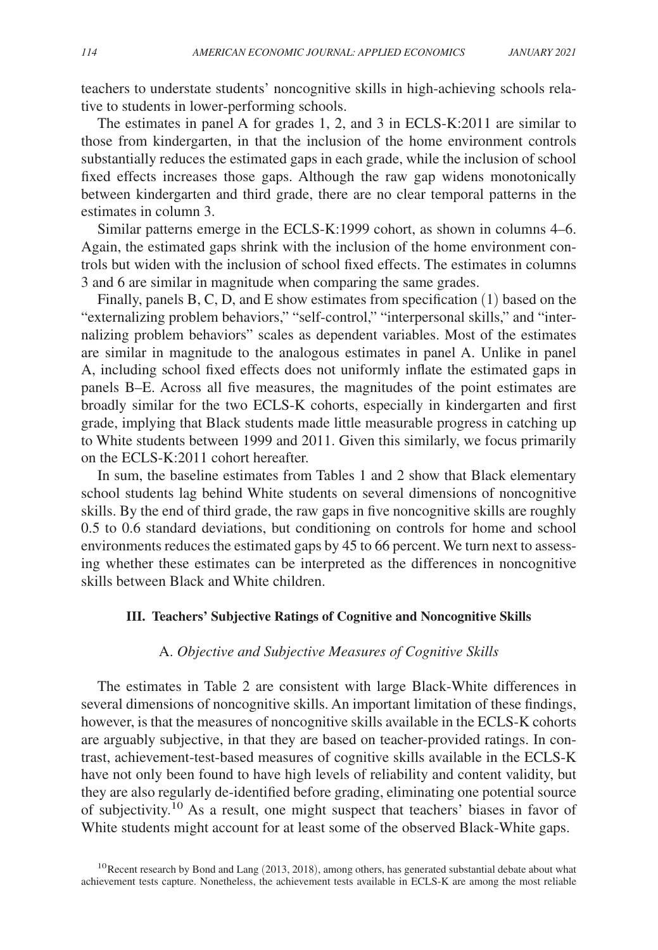teachers to understate students' noncognitive skills in high-achieving schools relative to students in lower-performing schools.

The estimates in panel A for grades 1, 2, and 3 in ECLS-K:2011 are similar to those from kindergarten, in that the inclusion of the home environment controls substantially reduces the estimated gaps in each grade, while the inclusion of school fixed effects increases those gaps. Although the raw gap widens monotonically between kindergarten and third grade, there are no clear temporal patterns in the estimates in column 3.

Similar patterns emerge in the ECLS-K:1999 cohort, as shown in columns 4–6. Again, the estimated gaps shrink with the inclusion of the home environment controls but widen with the inclusion of school fixed effects. The estimates in columns 3 and 6 are similar in magnitude when comparing the same grades.

Finally, panels B, C, D, and E show estimates from specification (1) based on the "externalizing problem behaviors," "self-control," "interpersonal skills," and "internalizing problem behaviors" scales as dependent variables. Most of the estimates are similar in magnitude to the analogous estimates in panel A. Unlike in panel A, including school fixed effects does not uniformly inflate the estimated gaps in panels B–E. Across all five measures, the magnitudes of the point estimates are broadly similar for the two ECLS-K cohorts, especially in kindergarten and first grade, implying that Black students made little measurable progress in catching up to White students between 1999 and 2011. Given this similarly, we focus primarily on the ECLS-K:2011 cohort hereafter.

In sum, the baseline estimates from Tables 1 and 2 show that Black elementary school students lag behind White students on several dimensions of noncognitive skills. By the end of third grade, the raw gaps in five noncognitive skills are roughly 0.5 to 0.6 standard deviations, but conditioning on controls for home and school environments reduces the estimated gaps by 45 to 66 percent. We turn next to assessing whether these estimates can be interpreted as the differences in noncognitive skills between Black and White children.

# **III. Teachers' Subjective Ratings of Cognitive and Noncognitive Skills**

## A. *Objective and Subjective Measures of Cognitive Skills*

The estimates in Table 2 are consistent with large Black-White differences in several dimensions of noncognitive skills. An important limitation of these findings, however, is that the measures of noncognitive skills available in the ECLS-K cohorts are arguably subjective, in that they are based on teacher-provided ratings. In contrast, achievement- test-based measures of cognitive skills available in the ECLS-K have not only been found to have high levels of reliability and content validity, but they are also regularly de-identified before grading, eliminating one potential source of subjectivity.10 As a result, one might suspect that teachers' biases in favor of White students might account for at least some of the observed Black-White gaps.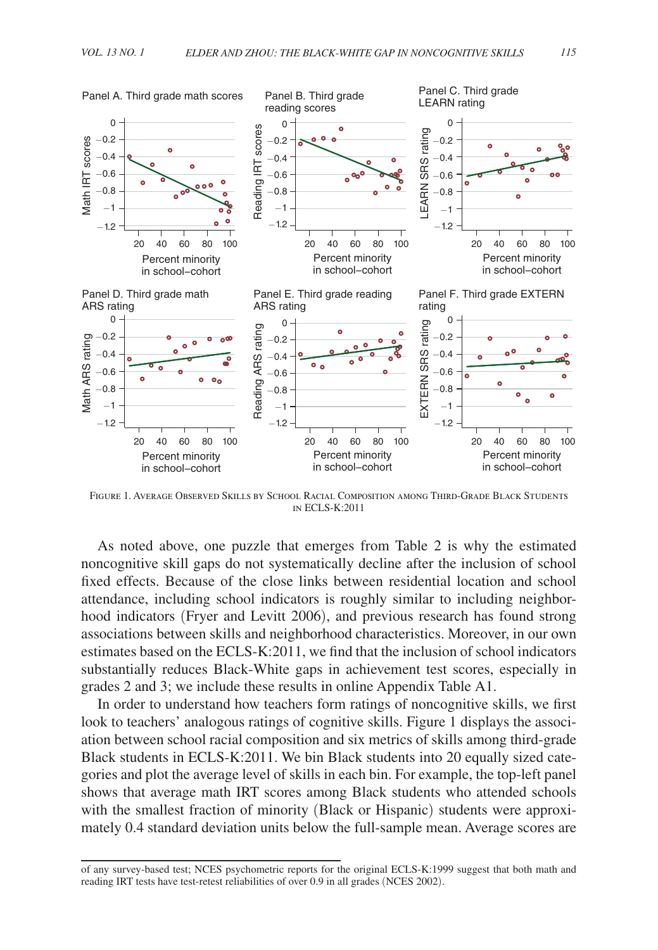

Figure 1. Average Observed Skills by School Racial Composition among Third-Grade Black Students in ECLS-K:2011

As noted above, one puzzle that emerges from Table 2 is why the estimated noncognitive skill gaps do not systematically decline after the inclusion of school fixed effects. Because of the close links between residential location and school attendance, including school indicators is roughly similar to including neighborhood indicators (Fryer and Levitt 2006), and previous research has found strong associations between skills and neighborhood characteristics. Moreover, in our own estimates based on the ECLS-K:2011, we find that the inclusion of school indicators substantially reduces Black-White gaps in achievement test scores, especially in grades 2 and 3; we include these results in online Appendix Table A1.

In order to understand how teachers form ratings of noncognitive skills, we first look to teachers' analogous ratings of cognitive skills. Figure 1 displays the association between school racial composition and six metrics of skills among third-grade Black students in ECLS-K:2011. We bin Black students into 20 equally sized categories and plot the average level of skills in each bin. For example, the top-left panel shows that average math IRT scores among Black students who attended schools with the smallest fraction of minority (Black or Hispanic) students were approximately 0.4 standard deviation units below the full-sample mean. Average scores are

of any survey-based test; NCES psychometric reports for the original ECLS-K:1999 suggest that both math and reading IRT tests have test-retest reliabilities of over 0.9 in all grades (NCES 2002).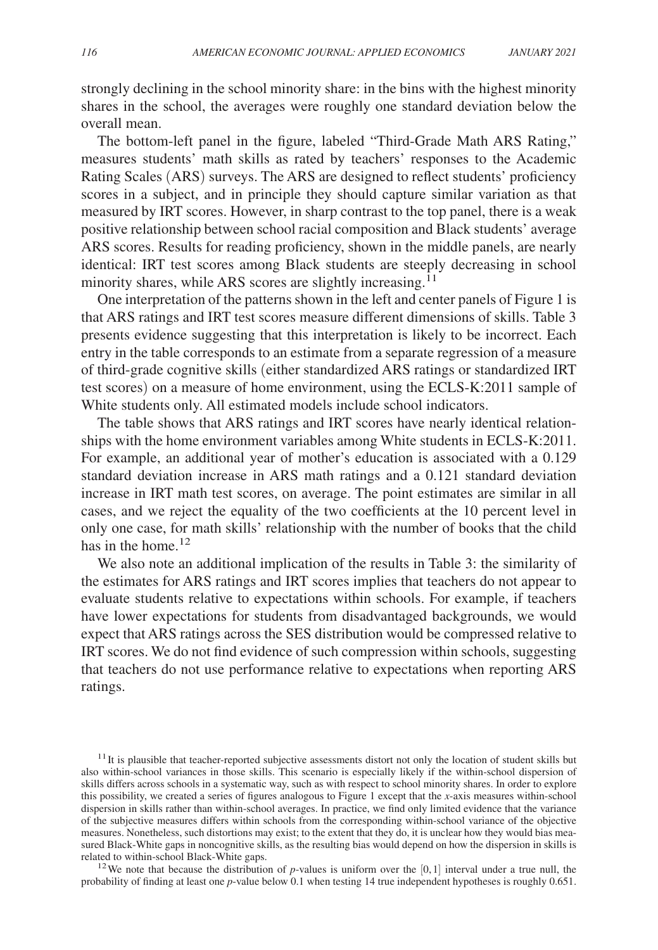strongly declining in the school minority share: in the bins with the highest minority shares in the school, the averages were roughly one standard deviation below the overall mean.

The bottom-left panel in the figure, labeled "Third-Grade Math ARS Rating," measures students' math skills as rated by teachers' responses to the Academic Rating Scales (ARS) surveys. The ARS are designed to reflect students' proficiency scores in a subject, and in principle they should capture similar variation as that measured by IRT scores. However, in sharp contrast to the top panel, there is a weak positive relationship between school racial composition and Black students' average ARS scores. Results for reading proficiency, shown in the middle panels, are nearly identical: IRT test scores among Black students are steeply decreasing in school minority shares, while ARS scores are slightly increasing.<sup>11</sup>

One interpretation of the patterns shown in the left and center panels of Figure 1 is that ARS ratings and IRT test scores measure different dimensions of skills. Table 3 presents evidence suggesting that this interpretation is likely to be incorrect. Each entry in the table corresponds to an estimate from a separate regression of a measure of third-grade cognitive skills (either standardized ARS ratings or standardized IRT test scores) on a measure of home environment, using the ECLS-K:2011 sample of White students only. All estimated models include school indicators.

The table shows that ARS ratings and IRT scores have nearly identical relationships with the home environment variables among White students in ECLS-K:2011. For example, an additional year of mother's education is associated with a 0.129 standard deviation increase in ARS math ratings and a 0.121 standard deviation increase in IRT math test scores, on average. The point estimates are similar in all cases, and we reject the equality of the two coefficients at the 10 percent level in only one case, for math skills' relationship with the number of books that the child has in the home.<sup>12</sup>

We also note an additional implication of the results in Table 3: the similarity of the estimates for ARS ratings and IRT scores implies that teachers do not appear to evaluate students relative to expectations within schools. For example, if teachers have lower expectations for students from disadvantaged backgrounds, we would expect that ARS ratings across the SES distribution would be compressed relative to IRT scores. We do not find evidence of such compression within schools, suggesting that teachers do not use performance relative to expectations when reporting ARS ratings.

 $11$ It is plausible that teacher-reported subjective assessments distort not only the location of student skills but also within-school variances in those skills. This scenario is especially likely if the within-school dispersion of skills differs across schools in a systematic way, such as with respect to school minority shares. In order to explore this possibility, we created a series of figures analogous to Figure 1 except that the *x*-axis measures within-school dispersion in skills rather than within-school averages. In practice, we find only limited evidence that the variance of the subjective measures differs within schools from the corresponding within-school variance of the objective measures. Nonetheless, such distortions may exist; to the extent that they do, it is unclear how they would bias measured Black-White gaps in noncognitive skills, as the resulting bias would depend on how the dispersion in skills is related to within-school Black-White gaps.

<sup>12</sup>We note that because the distribution of *p*-values is uniform over the  $[0,1]$  interval under a true null, the probability of finding at least one *p*-value below 0.1 when testing 14 true independent hypotheses is roughly 0.651.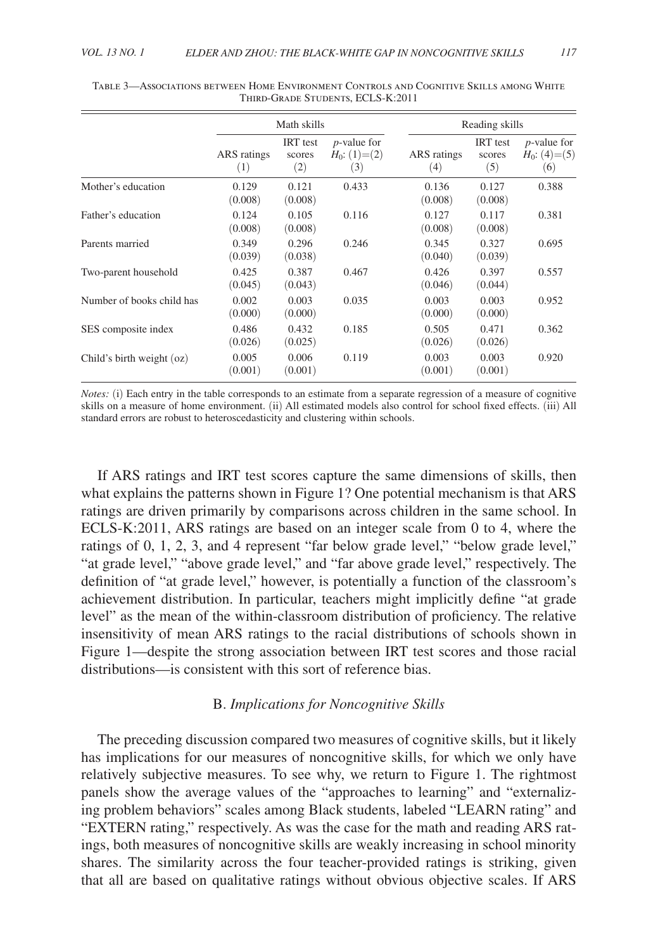|                             | Math skills        |                                  |                                               | Reading skills     |                                  |                                               |
|-----------------------------|--------------------|----------------------------------|-----------------------------------------------|--------------------|----------------------------------|-----------------------------------------------|
|                             | ARS ratings<br>(1) | <b>IRT</b> test<br>scores<br>(2) | <i>p</i> -value for<br>$H_0$ : (1)=(2)<br>(3) | ARS ratings<br>(4) | <b>IRT</b> test<br>scores<br>(5) | <i>p</i> -value for<br>$H_0$ : (4)=(5)<br>(6) |
| Mother's education          | 0.129<br>(0.008)   | 0.121<br>(0.008)                 | 0.433                                         | 0.136<br>(0.008)   | 0.127<br>(0.008)                 | 0.388                                         |
| Father's education          | 0.124<br>(0.008)   | 0.105<br>(0.008)                 | 0.116                                         | 0.127<br>(0.008)   | 0.117<br>(0.008)                 | 0.381                                         |
| Parents married             | 0.349<br>(0.039)   | 0.296<br>(0.038)                 | 0.246                                         | 0.345<br>(0.040)   | 0.327<br>(0.039)                 | 0.695                                         |
| Two-parent household        | 0.425<br>(0.045)   | 0.387<br>(0.043)                 | 0.467                                         | 0.426<br>(0.046)   | 0.397<br>(0.044)                 | 0.557                                         |
| Number of books child has   | 0.002<br>(0.000)   | 0.003<br>(0.000)                 | 0.035                                         | 0.003<br>(0.000)   | 0.003<br>(0.000)                 | 0.952                                         |
| SES composite index         | 0.486<br>(0.026)   | 0.432<br>(0.025)                 | 0.185                                         | 0.505<br>(0.026)   | 0.471<br>(0.026)                 | 0.362                                         |
| Child's birth weight $(oz)$ | 0.005<br>(0.001)   | 0.006<br>(0.001)                 | 0.119                                         | 0.003<br>(0.001)   | 0.003<br>(0.001)                 | 0.920                                         |

Table 3—Associations between Home Environment Controls and Cognitive Skills among White Third-Grade Students, ECLS-K:2011

*Notes:* (i) Each entry in the table corresponds to an estimate from a separate regression of a measure of cognitive skills on a measure of home environment. (ii) All estimated models also control for school fixed effects. (iii) All standard errors are robust to heteroscedasticity and clustering within schools.

If ARS ratings and IRT test scores capture the same dimensions of skills, then what explains the patterns shown in Figure 1? One potential mechanism is that ARS ratings are driven primarily by comparisons across children in the same school. In ECLS-K:2011, ARS ratings are based on an integer scale from 0 to 4, where the ratings of 0, 1, 2, 3, and 4 represent "far below grade level," "below grade level," "at grade level," "above grade level," and "far above grade level," respectively. The definition of "at grade level," however, is potentially a function of the classroom's achievement distribution. In particular, teachers might implicitly define "at grade level" as the mean of the within-classroom distribution of proficiency. The relative insensitivity of mean ARS ratings to the racial distributions of schools shown in Figure 1—despite the strong association between IRT test scores and those racial distributions—is consistent with this sort of reference bias.

# B. *Implications for Noncognitive Skills*

The preceding discussion compared two measures of cognitive skills, but it likely has implications for our measures of noncognitive skills, for which we only have relatively subjective measures. To see why, we return to Figure 1. The rightmost panels show the average values of the "approaches to learning" and "externalizing problem behaviors" scales among Black students, labeled "LEARN rating" and "EXTERN rating," respectively. As was the case for the math and reading ARS ratings, both measures of noncognitive skills are weakly increasing in school minority shares. The similarity across the four teacher-provided ratings is striking, given that all are based on qualitative ratings without obvious objective scales. If ARS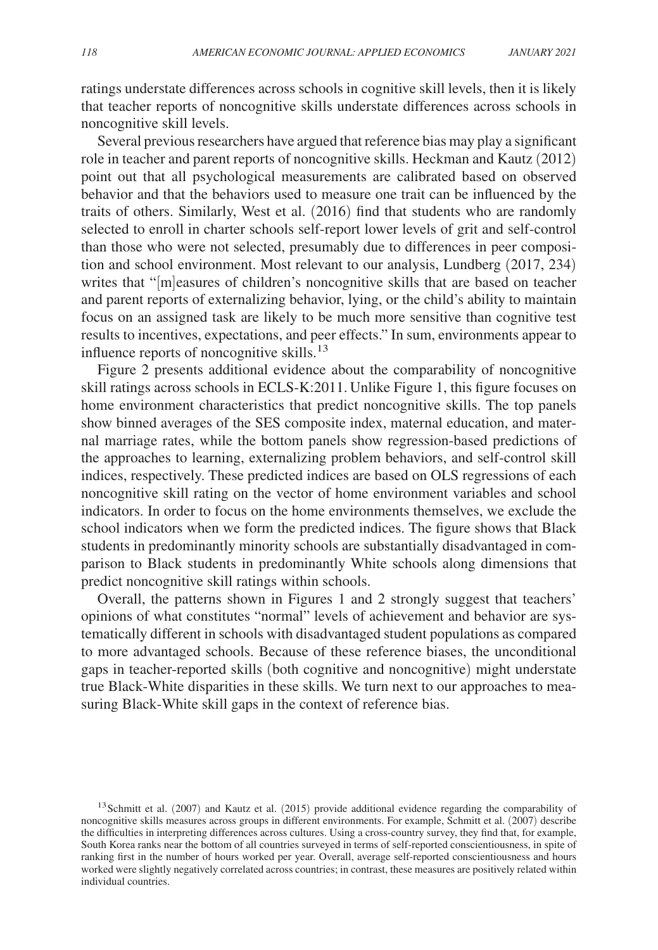ratings understate differences across schools in cognitive skill levels, then it is likely that teacher reports of noncognitive skills understate differences across schools in noncognitive skill levels.

Several previous researchers have argued that reference bias may play a significant role in teacher and parent reports of noncognitive skills. Heckman and Kautz (2012) point out that all psychological measurements are calibrated based on observed behavior and that the behaviors used to measure one trait can be influenced by the traits of others. Similarly, West et al. (2016) find that students who are randomly selected to enroll in charter schools self-report lower levels of grit and self-control than those who were not selected, presumably due to differences in peer composition and school environment. Most relevant to our analysis, Lundberg (2017, 234) writes that "[m]easures of children's noncognitive skills that are based on teacher and parent reports of externalizing behavior, lying, or the child's ability to maintain focus on an assigned task are likely to be much more sensitive than cognitive test results to incentives, expectations, and peer effects." In sum, environments appear to influence reports of noncognitive skills.<sup>13</sup>

Figure 2 presents additional evidence about the comparability of noncognitive skill ratings across schools in ECLS-K:2011. Unlike Figure 1, this figure focuses on home environment characteristics that predict noncognitive skills. The top panels show binned averages of the SES composite index, maternal education, and maternal marriage rates, while the bottom panels show regression-based predictions of the approaches to learning, externalizing problem behaviors, and self-control skill indices, respectively. These predicted indices are based on OLS regressions of each noncognitive skill rating on the vector of home environment variables and school indicators. In order to focus on the home environments themselves, we exclude the school indicators when we form the predicted indices. The figure shows that Black students in predominantly minority schools are substantially disadvantaged in comparison to Black students in predominantly White schools along dimensions that predict noncognitive skill ratings within schools.

Overall, the patterns shown in Figures 1 and 2 strongly suggest that teachers' opinions of what constitutes "normal" levels of achievement and behavior are systematically different in schools with disadvantaged student populations as compared to more advantaged schools. Because of these reference biases, the unconditional gaps in teacher-reported skills (both cognitive and noncognitive) might understate true Black-White disparities in these skills. We turn next to our approaches to measuring Black-White skill gaps in the context of reference bias.

<sup>&</sup>lt;sup>13</sup>Schmitt et al. (2007) and Kautz et al. (2015) provide additional evidence regarding the comparability of noncognitive skills measures across groups in different environments. For example, Schmitt et al. (2007) describe the difficulties in interpreting differences across cultures. Using a cross-country survey, they find that, for example, South Korea ranks near the bottom of all countries surveyed in terms of self-reported conscientiousness, in spite of ranking first in the number of hours worked per year. Overall, average self-reported conscientiousness and hours worked were slightly negatively correlated across countries; in contrast, these measures are positively related within individual countries.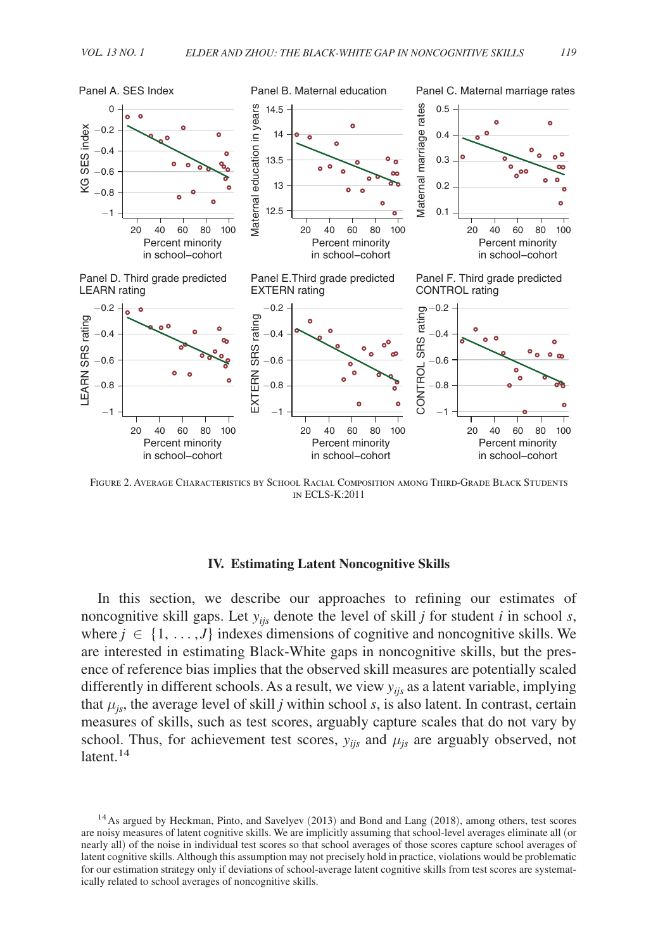

Figure 2. Average Characteristics by School Racial Composition among Third-Grade Black Students in ECLS-K:2011

# **IV. Estimating Latent Noncognitive Skills**

In this section, we describe our approaches to refining our estimates of noncognitive skill gaps. Let *yijs* denote the level of skill *j* for student *i* in school *s*, where  $j \in \{1, \ldots, J\}$  indexes dimensions of cognitive and noncognitive skills. We are interested in estimating Black-White gaps in noncognitive skills, but the presence of reference bias implies that the observed skill measures are potentially scaled differently in different schools. As a result, we view *yijs* as a latent variable, implying that  $\mu_{js}$ , the average level of skill *j* within school *s*, is also latent. In contrast, certain measures of skills, such as test scores, arguably capture scales that do not vary by school. Thus, for achievement test scores,  $y_{ijs}$  and  $\mu_{js}$  are arguably observed, not latent.<sup>14</sup>

<sup>14</sup>As argued by Heckman, Pinto, and Savelyev (2013) and Bond and Lang (2018), among others, test scores are noisy measures of latent cognitive skills. We are implicitly assuming that school-level averages eliminate all (or nearly all) of the noise in individual test scores so that school averages of those scores capture school averages of latent cognitive skills. Although this assumption may not precisely hold in practice, violations would be problematic for our estimation strategy only if deviations of school-average latent cognitive skills from test scores are systematically related to school averages of noncognitive skills.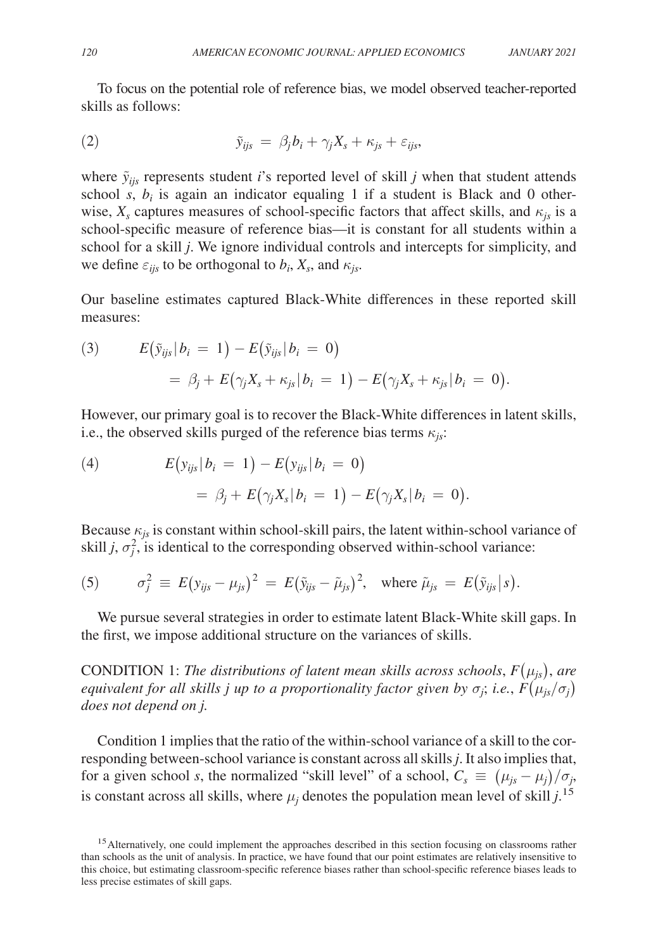To focus on the potential role of reference bias, we model observed teacher-reported skills as follows:

(2) 
$$
\tilde{y}_{ijs} = \beta_j b_i + \gamma_j X_s + \kappa_{js} + \varepsilon_{ijs},
$$

where  $\tilde{y}_{ijs}$  represents student *i*'s reported level of skill *j* when that student attends school  $s$ ,  $b_i$  is again an indicator equaling 1 if a student is Black and 0 otherwise,  $X_s$  captures measures of school-specific factors that affect skills, and  $\kappa_{js}$  is a school-specific measure of reference bias—it is constant for all students within a school for a skill *j*. We ignore individual controls and intercepts for simplicity, and we define  $\varepsilon_{ijs}$  to be orthogonal to  $b_i$ ,  $X_s$ , and  $\kappa_{js}$ .

Our baseline estimates captured Black-White differences in these reported skill measures:

(3) 
$$
E(\tilde{y}_{ijs}|b_i = 1) - E(\tilde{y}_{ijs}|b_i = 0)
$$

$$
= \beta_j + E(\gamma_j X_s + \kappa_{js}|b_i = 1) - E(\gamma_j X_s + \kappa_{js}|b_i = 0).
$$

However, our primary goal is to recover the Black-White differences in latent skills, i.e., the observed skills purged of the reference bias terms  $\kappa_{i,s}$ :

(4) 
$$
E(y_{ijs}|b_i = 1) - E(y_{ijs}|b_i = 0)
$$

$$
= \beta_j + E(\gamma_j X_s|b_i = 1) - E(\gamma_j X_s|b_i = 0).
$$

Because  $\kappa_{js}$  is constant within school-skill pairs, the latent within-school variance of skill *j*,  $\sigma_j^2$ , is identical to the corresponding observed within-school variance:

(5) 
$$
\sigma_j^2 \equiv E(y_{ijs} - \mu_{js})^2 = E(\tilde{y}_{ijs} - \tilde{\mu}_{js})^2, \text{ where } \tilde{\mu}_{js} = E(\tilde{y}_{ijs} | s).
$$

We pursue several strategies in order to estimate latent Black-White skill gaps. In the first, we impose additional structure on the variances of skills.

CONDITION 1: *The distributions of latent mean skills across schools*,  $F(\mu_{is})$ , are *equivalent for all skills j up to a proportionality factor given by*  $\sigma_j$ *; i.e.,*  $F(\mu_{js}/\sigma_j)$ *does not depend on j.*

Condition 1 implies that the ratio of the within-school variance of a skill to the corresponding between-school variance is constant across all skills *j*. It also implies that, for a given school *s*, the normalized "skill level" of a school,  $C_s \equiv (\mu_{js} - \mu_j)/\sigma_j$ , is constant across all skills, where  $\mu_j$  denotes the population mean level of skill  $j$ .<sup>15</sup>

<sup>&</sup>lt;sup>15</sup> Alternatively, one could implement the approaches described in this section focusing on classrooms rather than schools as the unit of analysis. In practice, we have found that our point estimates are relatively insensitive to this choice, but estimating classroom-specific reference biases rather than school-specific reference biases leads to less precise estimates of skill gaps.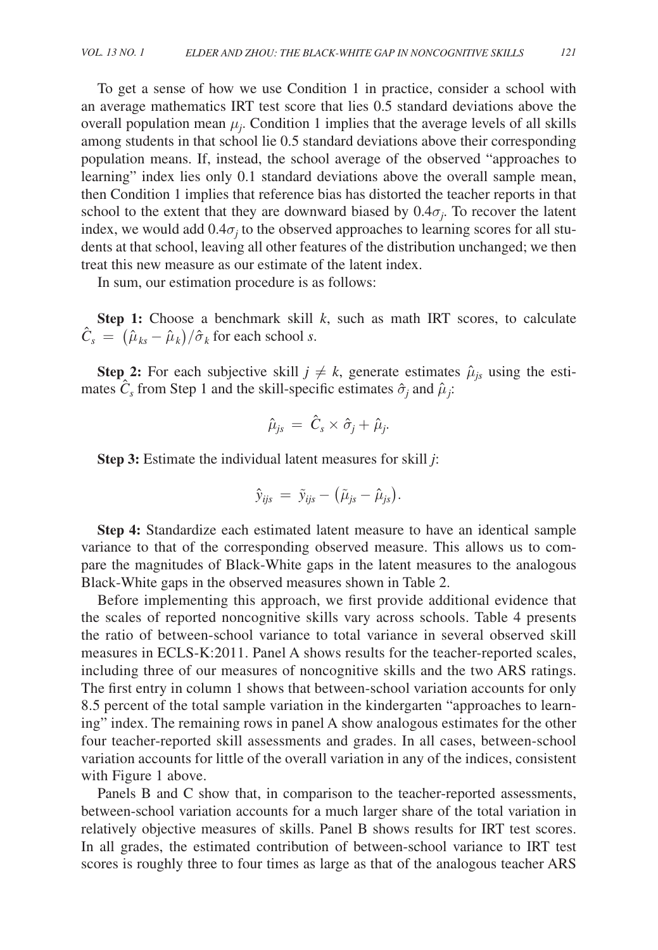To get a sense of how we use Condition 1 in practice, consider a school with an average mathematics IRT test score that lies 0.5 standard deviations above the overall population mean  $\mu_j$ . Condition 1 implies that the average levels of all skills among students in that school lie 0.5 standard deviations above their corresponding population means. If, instead, the school average of the observed "approaches to learning" index lies only 0.1 standard deviations above the overall sample mean, then Condition 1 implies that reference bias has distorted the teacher reports in that school to the extent that they are downward biased by  $0.4\sigma_j$ . To recover the latent index, we would add  $0.4\sigma_j$  to the observed approaches to learning scores for all students at that school, leaving all other features of the distribution unchanged; we then treat this new measure as our estimate of the latent index.

In sum, our estimation procedure is as follows:

**Step 1:** Choose a benchmark skill *k*, such as math IRT scores, to calculate  $\hat{C}_s = (\hat{\mu}_{ks} - \hat{\mu}_k)/\hat{\sigma}_k$  for each school *s*.

**Step 2:** For each subjective skill  $j \neq k$ , generate estimates  $\hat{\mu}_{js}$  using the estimates  $\hat{C}_s$  from Step 1 and the skill-specific estimates  $\hat{\sigma}_j$  and  $\hat{\mu}_j$ :

$$
\hat{\mu}_{js}~=~\hat{C}_s \times \hat{\sigma}_j + \hat{\mu}_j.
$$

**Step 3:** Estimate the individual latent measures for skill *j*:

$$
\hat{y}_{ijs} = \tilde{y}_{ijs} - (\tilde{\mu}_{js} - \hat{\mu}_{js}).
$$

**Step 4:** Standardize each estimated latent measure to have an identical sample variance to that of the corresponding observed measure. This allows us to compare the magnitudes of Black-White gaps in the latent measures to the analogous Black-White gaps in the observed measures shown in Table 2.

Before implementing this approach, we first provide additional evidence that the scales of reported noncognitive skills vary across schools. Table 4 presents the ratio of between-school variance to total variance in several observed skill measures in ECLS-K:2011. Panel A shows results for the teacher-reported scales, including three of our measures of noncognitive skills and the two ARS ratings. The first entry in column 1 shows that between-school variation accounts for only 8.5 percent of the total sample variation in the kindergarten "approaches to learning" index. The remaining rows in panel A show analogous estimates for the other four teacher-reported skill assessments and grades. In all cases, between-school variation accounts for little of the overall variation in any of the indices, consistent with Figure 1 above.

Panels B and C show that, in comparison to the teacher-reported assessments, between-school variation accounts for a much larger share of the total variation in relatively objective measures of skills. Panel B shows results for IRT test scores. In all grades, the estimated contribution of between-school variance to IRT test scores is roughly three to four times as large as that of the analogous teacher ARS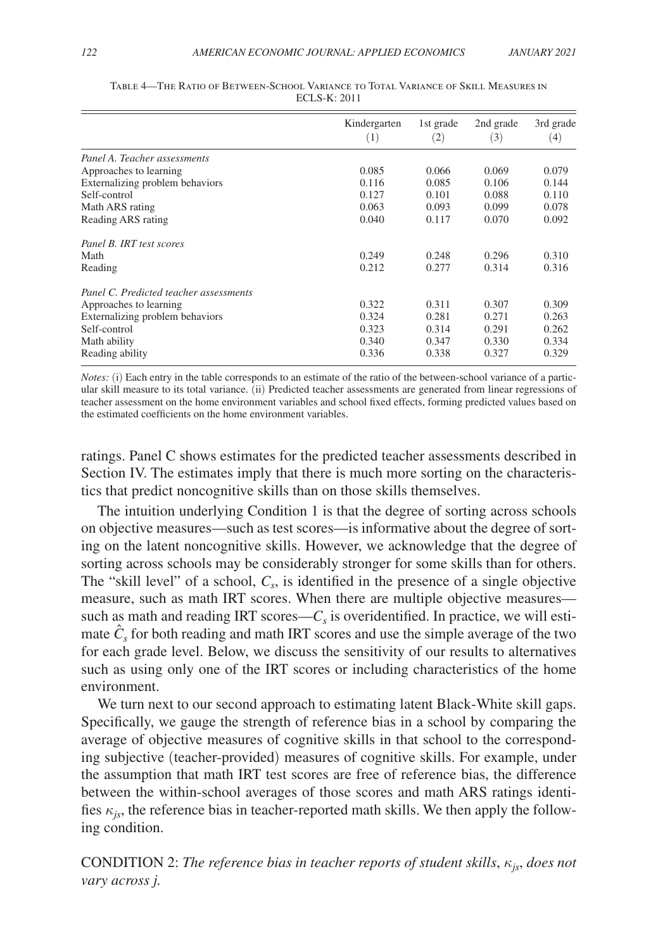|                                        | Kindergarten | 1st grade<br>(2) | 2nd grade<br>(3) | 3rd grade<br>(4) |
|----------------------------------------|--------------|------------------|------------------|------------------|
|                                        | (1)          |                  |                  |                  |
| Panel A. Teacher assessments           |              |                  |                  |                  |
| Approaches to learning                 | 0.085        | 0.066            | 0.069            | 0.079            |
| Externalizing problem behaviors        | 0.116        | 0.085            | 0.106            | 0.144            |
| Self-control                           | 0.127        | 0.101            | 0.088            | 0.110            |
| Math ARS rating                        | 0.063        | 0.093            | 0.099            | 0.078            |
| Reading ARS rating                     | 0.040        | 0.117            | 0.070            | 0.092            |
| Panel B. IRT test scores               |              |                  |                  |                  |
| Math                                   | 0.249        | 0.248            | 0.296            | 0.310            |
| Reading                                | 0.212        | 0.277            | 0.314            | 0.316            |
| Panel C. Predicted teacher assessments |              |                  |                  |                  |
| Approaches to learning                 | 0.322        | 0.311            | 0.307            | 0.309            |
| Externalizing problem behaviors        | 0.324        | 0.281            | 0.271            | 0.263            |
| Self-control                           | 0.323        | 0.314            | 0.291            | 0.262            |
| Math ability                           | 0.340        | 0.347            | 0.330            | 0.334            |
| Reading ability                        | 0.336        | 0.338            | 0.327            | 0.329            |

| TABLE 4—THE RATIO OF BETWEEN-SCHOOL VARIANCE TO TOTAL VARIANCE OF SKILL MEASURES IN |
|-------------------------------------------------------------------------------------|
| <b>ECLS-K: 2011</b>                                                                 |

*Notes:* (i) Each entry in the table corresponds to an estimate of the ratio of the between-school variance of a particular skill measure to its total variance. (ii) Predicted teacher assessments are generated from linear regressions of teacher assessment on the home environment variables and school fixed effects, forming predicted values based on the estimated coefficients on the home environment variables.

 ratings. Panel C shows estimates for the predicted teacher assessments described in Section IV. The estimates imply that there is much more sorting on the characteristics that predict noncognitive skills than on those skills themselves.

The intuition underlying Condition 1 is that the degree of sorting across schools on objective measures—such as test scores—is informative about the degree of sorting on the latent noncognitive skills. However, we acknowledge that the degree of sorting across schools may be considerably stronger for some skills than for others. The "skill level" of a school,  $C_s$ , is identified in the presence of a single objective measure, such as math IRT scores. When there are multiple objective measures such as math and reading IRT scores— $C_s$  is overidentified. In practice, we will estimate  $\hat{C}_s$  for both reading and math IRT scores and use the simple average of the two for each grade level. Below, we discuss the sensitivity of our results to alternatives such as using only one of the IRT scores or including characteristics of the home environment.

We turn next to our second approach to estimating latent Black-White skill gaps. Specifically, we gauge the strength of reference bias in a school by comparing the average of objective measures of cognitive skills in that school to the corresponding subjective ( teacher-provided) measures of cognitive skills. For example, under the assumption that math IRT test scores are free of reference bias, the difference between the within-school averages of those scores and math ARS ratings identifies  $\kappa_{is}$ , the reference bias in teacher-reported math skills. We then apply the following condition.

CONDITION 2: *The reference bias in teacher reports of student skills*,κ*js*, *does not vary across j.*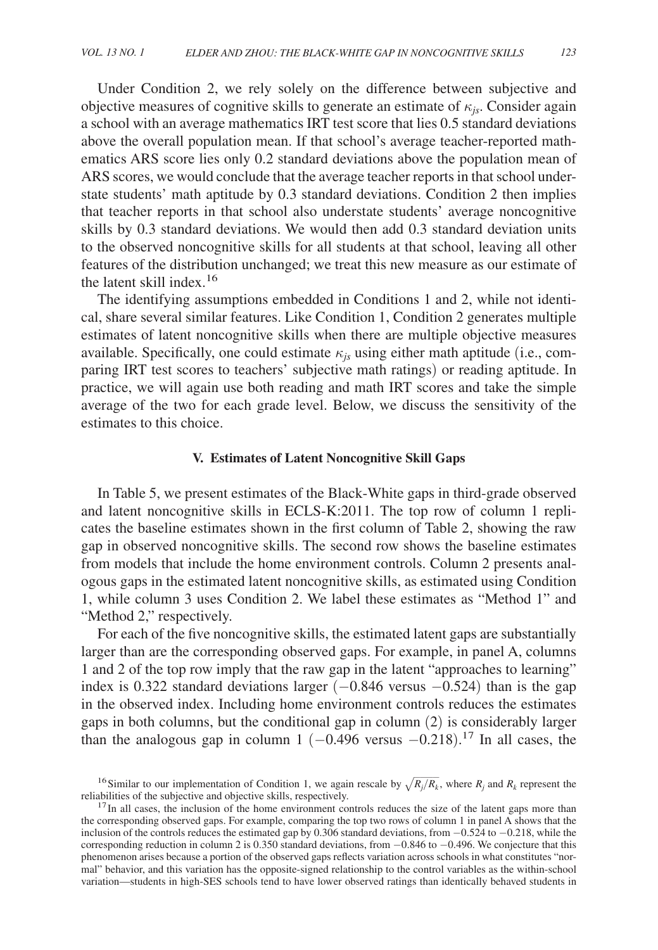Under Condition 2, we rely solely on the difference between subjective and objective measures of cognitive skills to generate an estimate of  $\kappa_{i}$ . Consider again a school with an average mathematics IRT test score that lies 0.5 standard deviations above the overall population mean. If that school's average teacher-reported mathematics ARS score lies only 0.2 standard deviations above the population mean of ARS scores, we would conclude that the average teacher reports in that school understate students' math aptitude by 0.3 standard deviations. Condition 2 then implies that teacher reports in that school also understate students' average noncognitive skills by 0.3 standard deviations. We would then add 0.3 standard deviation units to the observed noncognitive skills for all students at that school, leaving all other features of the distribution unchanged; we treat this new measure as our estimate of the latent skill index.<sup>16</sup>

The identifying assumptions embedded in Conditions 1 and 2, while not identical, share several similar features. Like Condition 1, Condition 2 generates multiple estimates of latent noncognitive skills when there are multiple objective measures available. Specifically, one could estimate  $\kappa_{i}$  using either math aptitude (i.e., comparing IRT test scores to teachers' subjective math ratings) or reading aptitude. In practice, we will again use both reading and math IRT scores and take the simple average of the two for each grade level. Below, we discuss the sensitivity of the estimates to this choice.

## **V. Estimates of Latent Noncognitive Skill Gaps**

In Table 5, we present estimates of the Black-White gaps in third-grade observed and latent noncognitive skills in ECLS-K:2011. The top row of column 1 replicates the baseline estimates shown in the first column of Table 2, showing the raw gap in observed noncognitive skills. The second row shows the baseline estimates from models that include the home environment controls. Column 2 presents analogous gaps in the estimated latent noncognitive skills, as estimated using Condition 1, while column 3 uses Condition 2. We label these estimates as "Method 1" and "Method 2," respectively.

For each of the five noncognitive skills, the estimated latent gaps are substantially larger than are the corresponding observed gaps. For example, in panel A, columns 1 and 2 of the top row imply that the raw gap in the latent "approaches to learning" index is 0.322 standard deviations larger  $(-0.846 \text{ versus } -0.524)$  than is the gap in the observed index. Including home environment controls reduces the estimates gaps in both columns, but the conditional gap in column (2) is considerably larger than the analogous gap in column 1  $(-0.496 \text{ versus } -0.218)$ .<sup>17</sup> In all cases, the

<sup>&</sup>lt;sup>16</sup> Similar to our implementation of Condition 1, we again rescale by  $\sqrt{R_j/R_k}$ , where  $R_j$  and  $R_k$  represent the reliabilities of the subjective and objective skills, respectively.

 $17$ In all cases, the inclusion of the home environment controls reduces the size of the latent gaps more than the corresponding observed gaps. For example, comparing the top two rows of column 1 in panel A shows that the inclusion of the controls reduces the estimated gap by 0.306 standard deviations, from −0.524 to −0.218, while the corresponding reduction in column 2 is 0.350 standard deviations, from −0.846 to −0.496. We conjecture that this phenomenon arises because a portion of the observed gaps reflects variation across schools in what constitutes "normal" behavior, and this variation has the opposite-signed relationship to the control variables as the within-school variation—students in high-SES schools tend to have lower observed ratings than identically behaved students in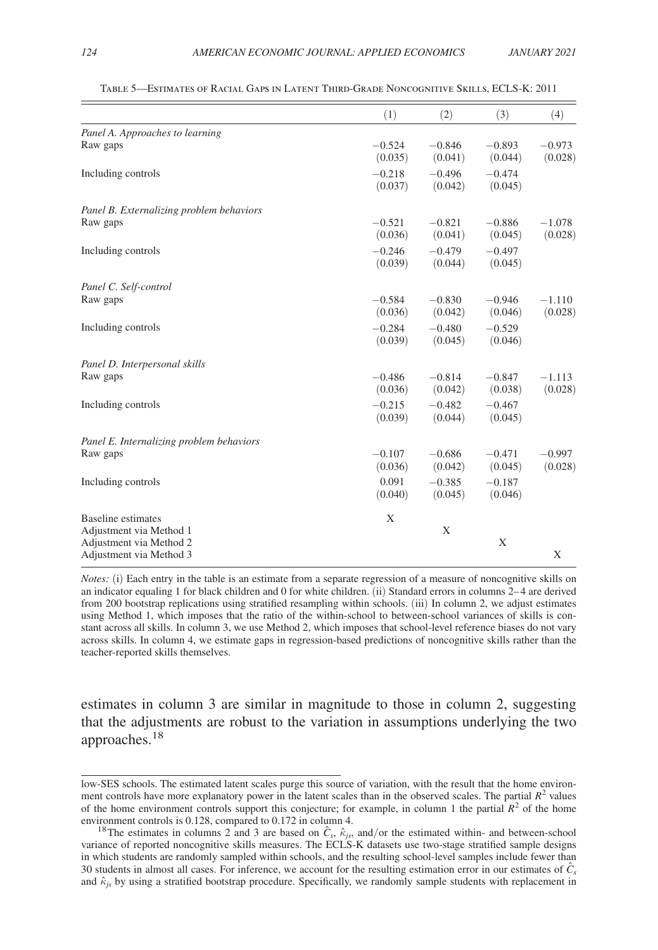|                                                    | (1)                 | (2)                 | (3)                 | (4)                 |
|----------------------------------------------------|---------------------|---------------------|---------------------|---------------------|
| Panel A. Approaches to learning                    |                     |                     |                     |                     |
| Raw gaps                                           | $-0.524$<br>(0.035) | $-0.846$<br>(0.041) | $-0.893$<br>(0.044) | $-0.973$<br>(0.028) |
| Including controls                                 | $-0.218$<br>(0.037) | $-0.496$<br>(0.042) | $-0.474$<br>(0.045) |                     |
| Panel B. Externalizing problem behaviors           |                     |                     |                     |                     |
| Raw gaps                                           | $-0.521$<br>(0.036) | $-0.821$<br>(0.041) | $-0.886$<br>(0.045) | $-1.078$<br>(0.028) |
| Including controls                                 | $-0.246$<br>(0.039) | $-0.479$<br>(0.044) | $-0.497$<br>(0.045) |                     |
| Panel C. Self-control                              |                     |                     |                     |                     |
| Raw gaps                                           | $-0.584$<br>(0.036) | $-0.830$<br>(0.042) | $-0.946$<br>(0.046) | $-1.110$<br>(0.028) |
| Including controls                                 | $-0.284$<br>(0.039) | $-0.480$<br>(0.045) | $-0.529$<br>(0.046) |                     |
| Panel D. Interpersonal skills                      |                     |                     |                     |                     |
| Raw gaps                                           | $-0.486$<br>(0.036) | $-0.814$<br>(0.042) | $-0.847$<br>(0.038) | $-1.113$<br>(0.028) |
| Including controls                                 | $-0.215$<br>(0.039) | $-0.482$<br>(0.044) | $-0.467$<br>(0.045) |                     |
| Panel E. Internalizing problem behaviors           |                     |                     |                     |                     |
| Raw gaps                                           | $-0.107$<br>(0.036) | $-0.686$<br>(0.042) | $-0.471$<br>(0.045) | $-0.997$<br>(0.028) |
| Including controls                                 | 0.091<br>(0.040)    | $-0.385$<br>(0.045) | $-0.187$<br>(0.046) |                     |
| <b>Baseline</b> estimates                          | X                   |                     |                     |                     |
| Adjustment via Method 1<br>Adjustment via Method 2 |                     | X                   | X                   |                     |
| Adjustment via Method 3                            |                     |                     |                     | X                   |

Table 5—Estimates of Racial Gaps in Latent Third-Grade Noncognitive Skills, ECLS-K: 2011

*Notes:* (i) Each entry in the table is an estimate from a separate regression of a measure of noncognitive skills on an indicator equaling 1 for black children and 0 for white children. (ii) Standard errors in columns 2– 4 are derived from 200 bootstrap replications using stratified resampling within schools. (iii) In column 2, we adjust estimates using Method 1, which imposes that the ratio of the within-school to between-school variances of skills is constant across all skills. In column 3, we use Method 2, which imposes that school-level reference biases do not vary across skills. In column 4, we estimate gaps in regression-based predictions of noncognitive skills rather than the teacher-reported skills themselves.

estimates in column 3 are similar in magnitude to those in column 2, suggesting that the adjustments are robust to the variation in assumptions underlying the two approaches.<sup>18</sup>

low-SES schools. The estimated latent scales purge this source of variation, with the result that the home environment controls have more explanatory power in the latent scales than in the observed scales. The partial  $R<sup>2</sup>$  values of the home environment controls support this conjecture; for example, in column 1 the partial  $R<sup>2</sup>$  of the home environment controls is 0.128, compared to 0.172 in column 4.

<sup>&</sup>lt;sup>18</sup>The estimates in columns 2 and 3 are based on  $\hat{C}_s$ ,  $\hat{\kappa}_{js}$ , and/or the estimated within- and between-school variance of reported noncognitive skills measures. The ECLS-K datasets use two-stage stratified sample designs in which students are randomly sampled within schools, and the resulting school-level samples include fewer than 30 students in almost all cases. For inference, we account for the resulting estimation error in our estimates of  $\hat{C}_s$ and  $\hat{\kappa}_{is}$  by using a stratified bootstrap procedure. Specifically, we randomly sample students with replacement in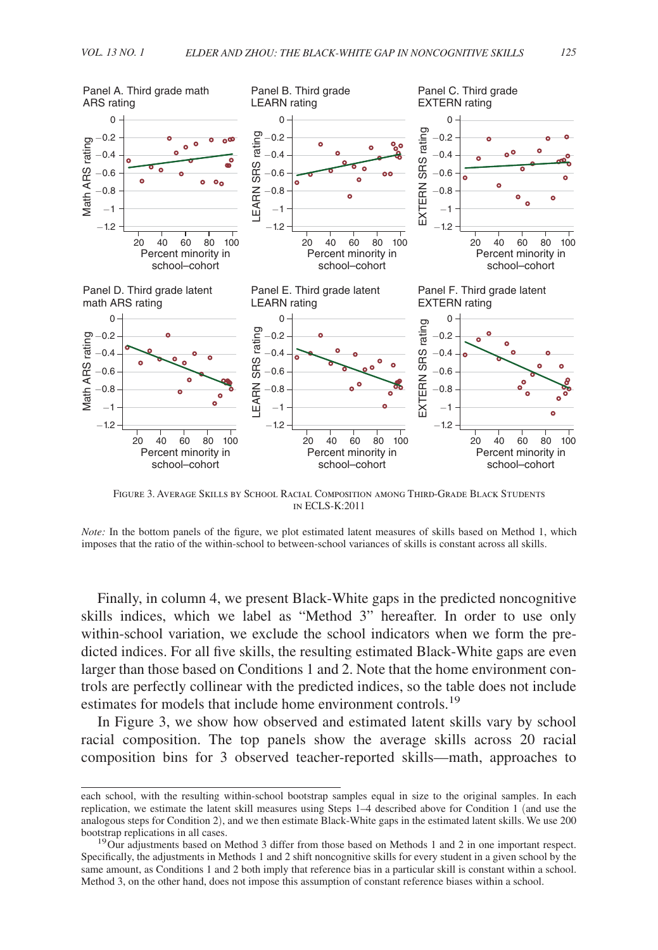

Figure 3. Average Skills by School Racial Composition among Third-Grade Black Students in ECLS-K:2011

*Note:* In the bottom panels of the figure, we plot estimated latent measures of skills based on Method 1, which

Finally, in column 4, we present Black-White gaps in the predicted noncognitive skills indices, which we label as "Method 3" hereafter. In order to use only within-school variation, we exclude the school indicators when we form the predicted indices. For all five skills, the resulting estimated Black-White gaps are even larger than those based on Conditions 1 and 2. Note that the home environment controls are perfectly collinear with the predicted indices, so the table does not include estimates for models that include home environment controls.<sup>19</sup>

In Figure 3, we show how observed and estimated latent skills vary by school racial composition. The top panels show the average skills across 20 racial composition bins for 3 observed teacher-reported skills—math, approaches to

each school, with the resulting within-school bootstrap samples equal in size to the original samples. In each replication, we estimate the latent skill measures using Steps 1–4 described above for Condition 1 (and use the analogous steps for Condition 2), and we then estimate Black-White gaps in the estimated latent skills. We use 200 bootstrap replications in all cases.

<sup>&</sup>lt;sup>19</sup>Our adjustments based on Method 3 differ from those based on Methods 1 and 2 in one important respect. Specifically, the adjustments in Methods 1 and 2 shift noncognitive skills for every student in a given school by the same amount, as Conditions 1 and 2 both imply that reference bias in a particular skill is constant within a school. Method 3, on the other hand, does not impose this assumption of constant reference biases within a school.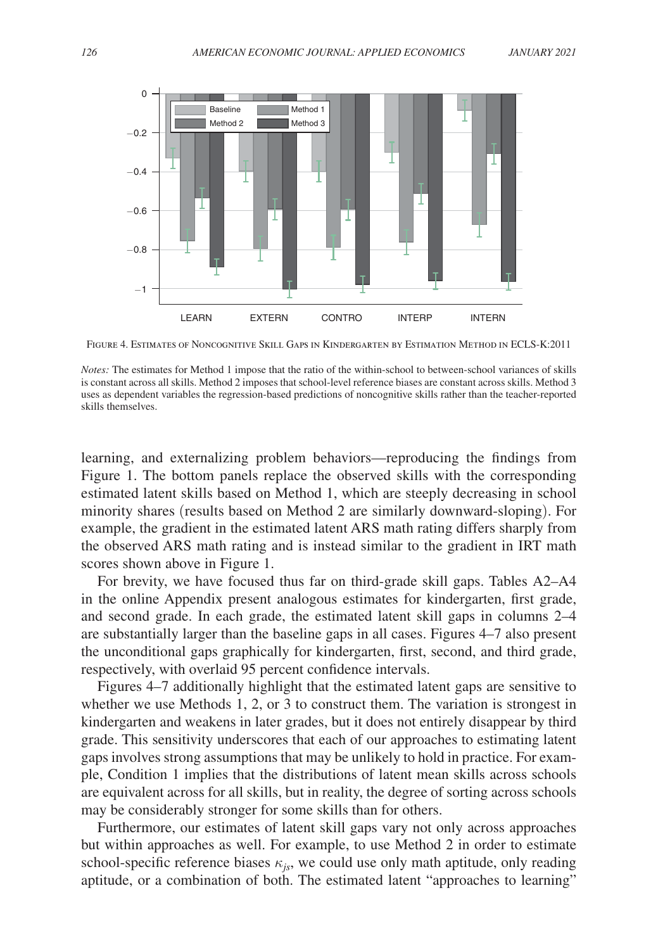

Figure 4. Estimates of Noncognitive Skill Gaps in Kindergarten by Estimation Method in ECLS-K:2011

learning, and externalizing problem behaviors—reproducing the findings from Figure 1. The bottom panels replace the observed skills with the corresponding estimated latent skills based on Method 1, which are steeply decreasing in school minority shares (results based on Method 2 are similarly downward-sloping). For example, the gradient in the estimated latent ARS math rating differs sharply from the observed ARS math rating and is instead similar to the gradient in IRT math scores shown above in Figure 1.

For brevity, we have focused thus far on third-grade skill gaps. Tables A2–A4 in the online Appendix present analogous estimates for kindergarten, first grade, and second grade. In each grade, the estimated latent skill gaps in columns 2–4 are substantially larger than the baseline gaps in all cases. Figures 4–7 also present the unconditional gaps graphically for kindergarten, first, second, and third grade, respectively, with overlaid 95 percent confidence intervals.

Figures 4–7 additionally highlight that the estimated latent gaps are sensitive to whether we use Methods 1, 2, or 3 to construct them. The variation is strongest in kindergarten and weakens in later grades, but it does not entirely disappear by third grade. This sensitivity underscores that each of our approaches to estimating latent gaps involves strong assumptions that may be unlikely to hold in practice. For example, Condition 1 implies that the distributions of latent mean skills across schools are equivalent across for all skills, but in reality, the degree of sorting across schools may be considerably stronger for some skills than for others.

Furthermore, our estimates of latent skill gaps vary not only across approaches but within approaches as well. For example, to use Method 2 in order to estimate school-specific reference biases  $\kappa_{is}$ , we could use only math aptitude, only reading aptitude, or a combination of both. The estimated latent "approaches to learning"

*Notes:* The estimates for Method 1 impose that the ratio of the within-school to between-school variances of skills is constant across all skills. Method 2 imposes that school-level reference biases are constant across skills. Method 3 uses as dependent variables the regression-based predictions of noncognitive skills rather than the teacher-reported skills themselves.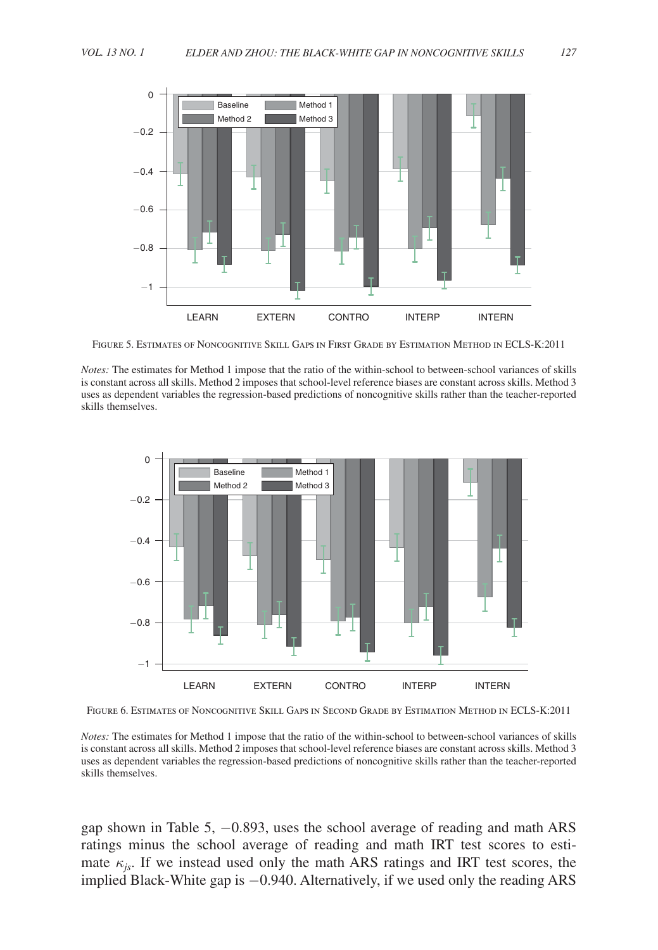

Figure 5. Estimates of Noncognitive Skill Gaps in First Grade by Estimation Method in ECLS-K:2011

*Notes:* The estimates for Method 1 impose that the ratio of the within-school to between-school variances of skills is constant across all skills. Method 2 imposes that school-level reference biases are constant across skills. Method 3 uses as dependent variables the regression-based predictions of noncognitive skills rather than the teacher-reported skills themselves.



Figure 6. Estimates of Noncognitive Skill Gaps in Second Grade by Estimation Method in ECLS-K:2011

*Notes:* The estimates for Method 1 impose that the ratio of the within-school to between-school variances of skills is constant across all skills. Method 2 imposes that school-level reference biases are constant across skills. Method 3 uses as dependent variables the regression-based predictions of noncognitive skills rather than the teacher-reported skills themselves.

gap shown in Table 5, −0.893, uses the school average of reading and math ARS ratings minus the school average of reading and math IRT test scores to estimate  $\kappa_{is}$ . If we instead used only the math ARS ratings and IRT test scores, the implied Black-White gap is −0.940. Alternatively, if we used only the reading ARS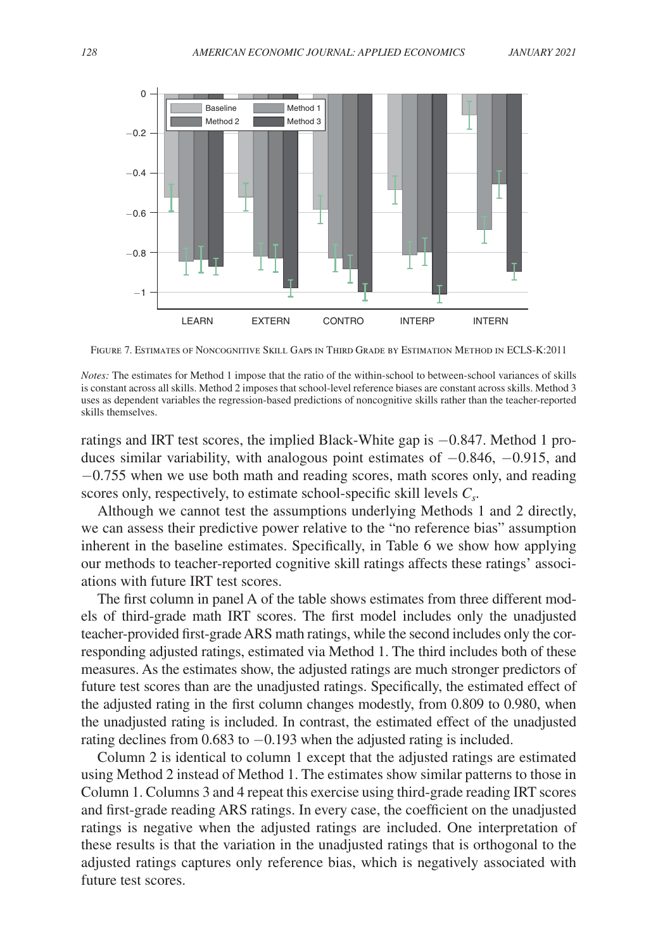

Figure 7. Estimates of Noncognitive Skill Gaps in Third Grade by Estimation Method in ECLS-K:2011

*Notes:* The estimates for Method 1 impose that the ratio of the within-school to between-school variances of skills is constant across all skills. Method 2 imposes that school-level reference biases are constant across skills. Method 3 uses as dependent variables the regression-based predictions of noncognitive skills rather than the teacher-reported skills themselves.

ratings and IRT test scores, the implied Black-White gap is −0.847. Method 1 produces similar variability, with analogous point estimates of −0.846, −0.915, and −0.755 when we use both math and reading scores, math scores only, and reading scores only, respectively, to estimate school-specific skill levels *C<sup>s</sup>* .

Although we cannot test the assumptions underlying Methods 1 and 2 directly, we can assess their predictive power relative to the "no reference bias" assumption inherent in the baseline estimates. Specifically, in Table 6 we show how applying our methods to teacher-reported cognitive skill ratings affects these ratings' associations with future IRT test scores.

The first column in panel A of the table shows estimates from three different models of third-grade math IRT scores. The first model includes only the unadjusted teacher-provided first-grade ARS math ratings, while the second includes only the corresponding adjusted ratings, estimated via Method 1. The third includes both of these measures. As the estimates show, the adjusted ratings are much stronger predictors of future test scores than are the unadjusted ratings. Specifically, the estimated effect of the adjusted rating in the first column changes modestly, from 0.809 to 0.980, when the unadjusted rating is included. In contrast, the estimated effect of the unadjusted rating declines from 0.683 to −0.193 when the adjusted rating is included.

Column 2 is identical to column 1 except that the adjusted ratings are estimated using Method 2 instead of Method 1. The estimates show similar patterns to those in Column 1. Columns 3 and 4 repeat this exercise using third-grade reading IRT scores and first-grade reading ARS ratings. In every case, the coefficient on the unadjusted ratings is negative when the adjusted ratings are included. One interpretation of these results is that the variation in the unadjusted ratings that is orthogonal to the adjusted ratings captures only reference bias, which is negatively associated with future test scores.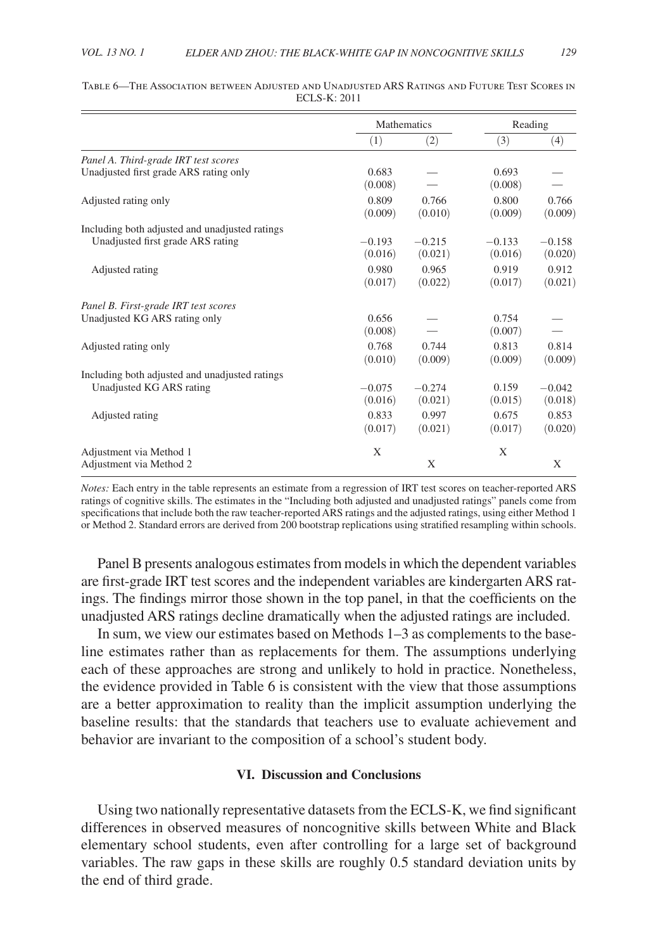|                                                    | <b>Mathematics</b>  |                     | Reading             |                     |
|----------------------------------------------------|---------------------|---------------------|---------------------|---------------------|
|                                                    | (1)                 | (2)                 | (3)                 | (4)                 |
| Panel A. Third-grade IRT test scores               |                     |                     |                     |                     |
| Unadjusted first grade ARS rating only             | 0.683<br>(0.008)    |                     | 0.693<br>(0.008)    |                     |
| Adjusted rating only                               | 0.809<br>(0.009)    | 0.766<br>(0.010)    | 0.800<br>(0.009)    | 0.766<br>(0.009)    |
| Including both adjusted and unadjusted ratings     |                     |                     |                     |                     |
| Unadjusted first grade ARS rating                  | $-0.193$<br>(0.016) | $-0.215$<br>(0.021) | $-0.133$<br>(0.016) | $-0.158$<br>(0.020) |
| Adjusted rating                                    | 0.980<br>(0.017)    | 0.965<br>(0.022)    | 0.919<br>(0.017)    | 0.912<br>(0.021)    |
| Panel B. First-grade IRT test scores               |                     |                     |                     |                     |
| Unadjusted KG ARS rating only                      | 0.656<br>(0.008)    |                     | 0.754<br>(0.007)    |                     |
| Adjusted rating only                               | 0.768<br>(0.010)    | 0.744<br>(0.009)    | 0.813<br>(0.009)    | 0.814<br>(0.009)    |
| Including both adjusted and unadjusted ratings     |                     |                     |                     |                     |
| Unadjusted KG ARS rating                           | $-0.075$<br>(0.016) | $-0.274$<br>(0.021) | 0.159<br>(0.015)    | $-0.042$<br>(0.018) |
| Adjusted rating                                    | 0.833<br>(0.017)    | 0.997<br>(0.021)    | 0.675<br>(0.017)    | 0.853<br>(0.020)    |
| Adjustment via Method 1<br>Adjustment via Method 2 | X                   | X                   | X                   | X                   |

#### Table 6—The Association between Adjusted and Unadjusted ARS Ratings and Future Test Scores in ECLS-K: 2011

*Notes:* Each entry in the table represents an estimate from a regression of IRT test scores on teacher-reported ARS ratings of cognitive skills. The estimates in the "Including both adjusted and unadjusted ratings" panels come from specifications that include both the raw teacher-reported ARS ratings and the adjusted ratings, using either Method 1 or Method 2. Standard errors are derived from 200 bootstrap replications using stratified resampling within schools.

Panel B presents analogous estimates from models in which the dependent variables are first-grade IRT test scores and the independent variables are kindergarten ARS ratings. The findings mirror those shown in the top panel, in that the coefficients on the unadjusted ARS ratings decline dramatically when the adjusted ratings are included.

In sum, we view our estimates based on Methods 1–3 as complements to the baseline estimates rather than as replacements for them. The assumptions underlying each of these approaches are strong and unlikely to hold in practice. Nonetheless, the evidence provided in Table 6 is consistent with the view that those assumptions are a better approximation to reality than the implicit assumption underlying the baseline results: that the standards that teachers use to evaluate achievement and behavior are invariant to the composition of a school's student body.

## **VI. Discussion and Conclusions**

Using two nationally representative datasets from the ECLS-K, we find significant differences in observed measures of noncognitive skills between White and Black elementary school students, even after controlling for a large set of background variables. The raw gaps in these skills are roughly 0.5 standard deviation units by the end of third grade.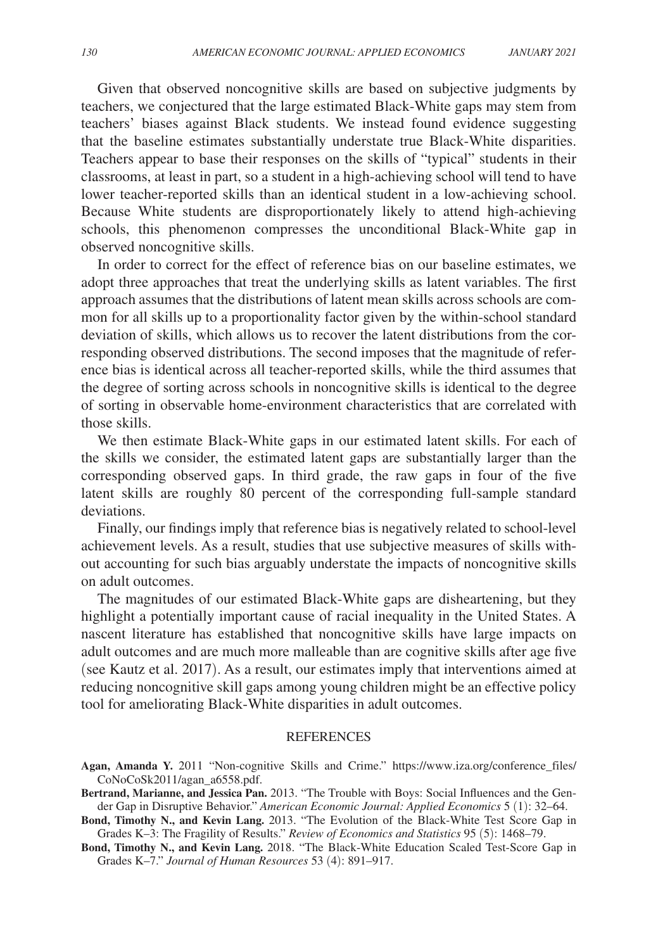Given that observed noncognitive skills are based on subjective judgments by teachers, we conjectured that the large estimated Black-White gaps may stem from teachers' biases against Black students. We instead found evidence suggesting that the baseline estimates substantially understate true Black-White disparities. Teachers appear to base their responses on the skills of "typical" students in their classrooms, at least in part, so a student in a high-achieving school will tend to have lower teacher-reported skills than an identical student in a low-achieving school. Because White students are disproportionately likely to attend high-achieving schools, this phenomenon compresses the unconditional Black-White gap in observed noncognitive skills.

In order to correct for the effect of reference bias on our baseline estimates, we adopt three approaches that treat the underlying skills as latent variables. The first approach assumes that the distributions of latent mean skills across schools are common for all skills up to a proportionality factor given by the within-school standard deviation of skills, which allows us to recover the latent distributions from the corresponding observed distributions. The second imposes that the magnitude of reference bias is identical across all teacher-reported skills, while the third assumes that the degree of sorting across schools in noncognitive skills is identical to the degree of sorting in observable home-environment characteristics that are correlated with those skills.

We then estimate Black-White gaps in our estimated latent skills. For each of the skills we consider, the estimated latent gaps are substantially larger than the corresponding observed gaps. In third grade, the raw gaps in four of the five latent skills are roughly 80 percent of the corresponding full-sample standard deviations.

Finally, our findings imply that reference bias is negatively related to school-level achievement levels. As a result, studies that use subjective measures of skills without accounting for such bias arguably understate the impacts of noncognitive skills on adult outcomes.

The magnitudes of our estimated Black-White gaps are disheartening, but they highlight a potentially important cause of racial inequality in the United States. A nascent literature has established that noncognitive skills have large impacts on adult outcomes and are much more malleable than are cognitive skills after age five (see Kautz et al. 2017). As a result, our estimates imply that interventions aimed at reducing noncognitive skill gaps among young children might be an effective policy tool for ameliorating Black-White disparities in adult outcomes.

## REFERENCES

- **Agan, Amanda Y.** 2011 "Non-cognitive Skills and Crime." https://www.iza.org/conference\_files/ CoNoCoSk2011/agan\_a6558.pdf.
- **Bertrand, Marianne, and Jessica Pan.** 2013. "The Trouble with Boys: Social Influences and the Gender Gap in Disruptive Behavior." *American Economic Journal: Applied Economics* 5 (1): 32–64.

**Bond, Timothy N., and Kevin Lang.** 2013. "The Evolution of the Black-White Test Score Gap in Grades K–3: The Fragility of Results." *Review of Economics and Statistics* 95 (5): 1468–79.

**Bond, Timothy N., and Kevin Lang.** 2018. "The Black-White Education Scaled Test-Score Gap in Grades K–7." *Journal of Human Resources* 53 (4): 891–917.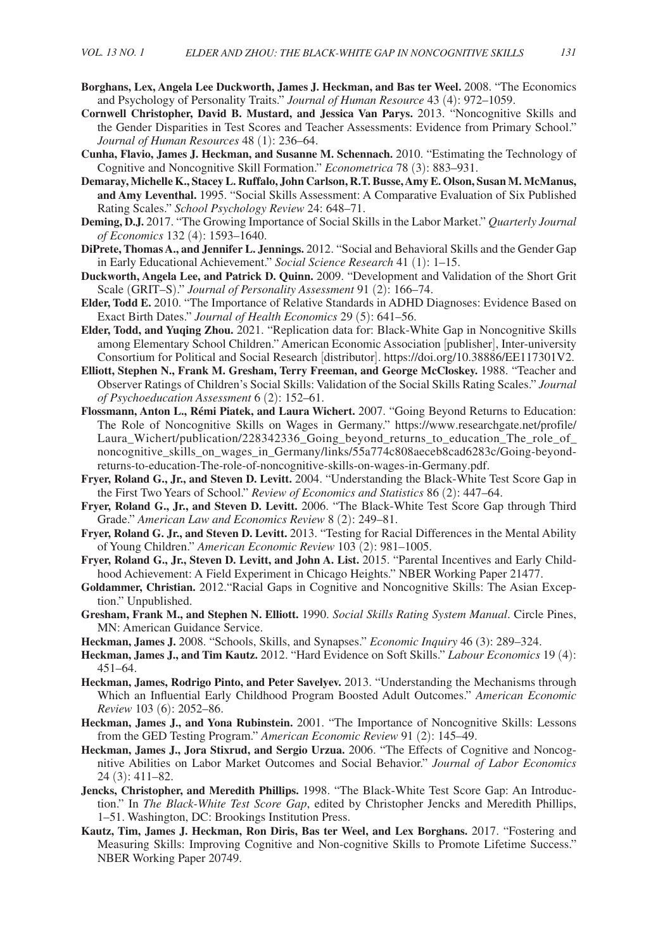- **Borghans, Lex, Angela Lee Duckworth, James J. Heckman, and Bas ter Weel.** 2008. "The Economics and Psychology of Personality Traits." *Journal of Human Resource* 43 (4): 972–1059.
- **Cornwell Christopher, David B. Mustard, and Jessica Van Parys.** 2013. "Noncognitive Skills and the Gender Disparities in Test Scores and Teacher Assessments: Evidence from Primary School." *Journal of Human Resources* 48 (1): 236–64.
- **Cunha, Flavio, James J. Heckman, and Susanne M. Schennach.** 2010. "Estimating the Technology of Cognitive and Noncognitive Skill Formation." *Econometrica* 78 (3): 883–931.
- **Demaray, Michelle K., Stacey L. Ruffalo, John Carlson, R.T. Busse, Amy E. Olson, Susan M. McManus, and Amy Leventhal.** 1995. "Social Skills Assessment: A Comparative Evaluation of Six Published Rating Scales." *School Psychology Review* 24: 648–71.
- **Deming, D.J.** 2017. "The Growing Importance of Social Skills in the Labor Market." *Quarterly Journal of Economics* 132 (4): 1593–1640.
- **DiPrete, Thomas A., and Jennifer L. Jennings.** 2012. "Social and Behavioral Skills and the Gender Gap in Early Educational Achievement." *Social Science Research* 41 (1): 1–15.
- **Duckworth, Angela Lee, and Patrick D. Quinn.** 2009. "Development and Validation of the Short Grit Scale (GRIT–S)." *Journal of Personality Assessment* 91 (2): 166–74.
- **Elder, Todd E.** 2010. "The Importance of Relative Standards in ADHD Diagnoses: Evidence Based on Exact Birth Dates." *Journal of Health Economics* 29 (5): 641–56.
- **Elder, Todd, and Yuqing Zhou.** 2021. "Replication data for: Black-White Gap in Noncognitive Skills among Elementary School Children." American Economic Association [publisher], Inter-university Consortium for Political and Social Research [distributor]. https://doi.org/10.38886/EE117301V2.
- **Elliott, Stephen N., Frank M. Gresham, Terry Freeman, and George McCloskey.** 1988. "Teacher and Observer Ratings of Children's Social Skills: Validation of the Social Skills Rating Scales." *Journal of Psychoeducation Assessment* 6 (2): 152–61.
- **Flossmann, Anton L., Rémi Piatek, and Laura Wichert.** 2007. "Going Beyond Returns to Education: The Role of Noncognitive Skills on Wages in Germany." https://www.researchgate.net/profile/ Laura\_Wichert/publication/228342336\_Going\_beyond\_returns\_to\_education\_The\_role\_of\_ noncognitive skills on wages in Germany/links/55a774c808aeceb8cad6283c/Going-beyondreturns-to-education-The-role-of-noncognitive-skills-on-wages-in-Germany.pdf.
- **Fryer, Roland G., Jr., and Steven D. Levitt.** 2004. "Understanding the Black-White Test Score Gap in the First Two Years of School." *Review of Economics and Statistics* 86 (2): 447–64.
- **Fryer, Roland G., Jr., and Steven D. Levitt.** 2006. "The Black-White Test Score Gap through Third Grade." *American Law and Economics Review* 8 (2): 249–81.
- **Fryer, Roland G. Jr., and Steven D. Levitt.** 2013. "Testing for Racial Differences in the Mental Ability of Young Children." *American Economic Review* 103 (2): 981–1005.
- **Fryer, Roland G., Jr., Steven D. Levitt, and John A. List.** 2015. "Parental Incentives and Early Childhood Achievement: A Field Experiment in Chicago Heights." NBER Working Paper 21477.
- **Goldammer, Christian.** 2012."Racial Gaps in Cognitive and Noncognitive Skills: The Asian Exception." Unpublished.
- **Gresham, Frank M., and Stephen N. Elliott.** 1990. *Social Skills Rating System Manual*. Circle Pines, MN: American Guidance Service.
- **Heckman, James J.** 2008. "Schools, Skills, and Synapses." *Economic Inquiry* 46 (3): 289–324.
- **Heckman, James J., and Tim Kautz.** 2012. "Hard Evidence on Soft Skills." *Labour Economics* 19 (4): 451–64.
- **Heckman, James, Rodrigo Pinto, and Peter Savelyev.** 2013. "Understanding the Mechanisms through Which an Influential Early Childhood Program Boosted Adult Outcomes." *American Economic Review* 103 (6): 2052–86.
- **Heckman, James J., and Yona Rubinstein.** 2001. "The Importance of Noncognitive Skills: Lessons from the GED Testing Program." *American Economic Review* 91 (2): 145–49.
- **Heckman, James J., Jora Stixrud, and Sergio Urzua.** 2006. "The Effects of Cognitive and Noncognitive Abilities on Labor Market Outcomes and Social Behavior." *Journal of Labor Economics* 24 (3): 411–82.
- **Jencks, Christopher, and Meredith Phillips.** 1998. "The Black-White Test Score Gap: An Introduction." In *The Black-White Test Score Gap*, edited by Christopher Jencks and Meredith Phillips, 1–51. Washington, DC: Brookings Institution Press.
- **Kautz, Tim, James J. Heckman, Ron Diris, Bas ter Weel, and Lex Borghans.** 2017. "Fostering and Measuring Skills: Improving Cognitive and Non-cognitive Skills to Promote Lifetime Success." NBER Working Paper 20749.